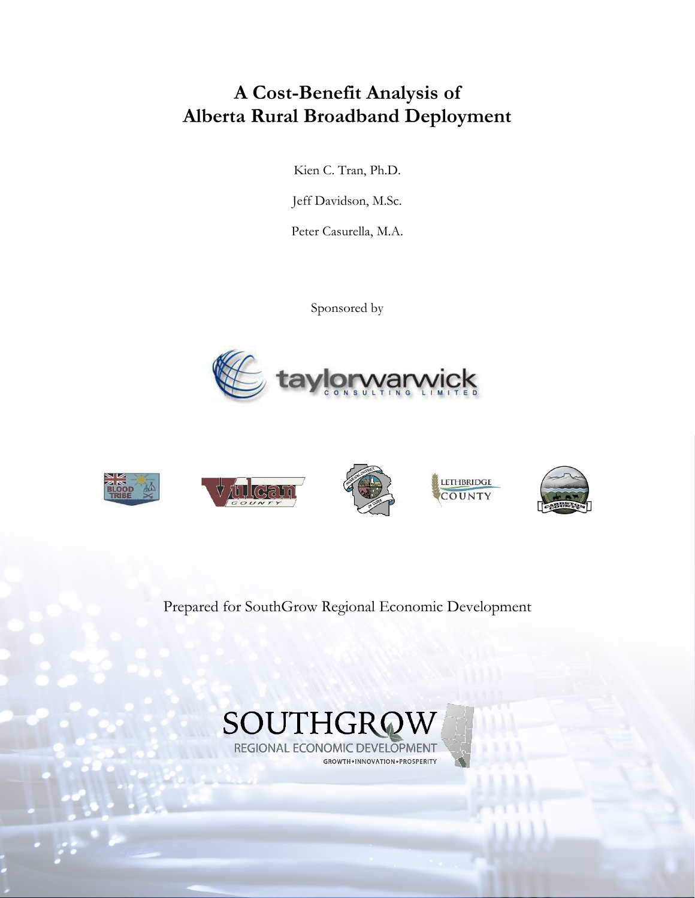## **A Cost-Benefit Analysis of Alberta Rural Broadband Deployment**

Kien C. Tran, Ph.D.

Jeff Davidson, M.Sc.

Peter Casurella, M.A.

Sponsored by





Prepared for SouthGrow Regional Economic Development

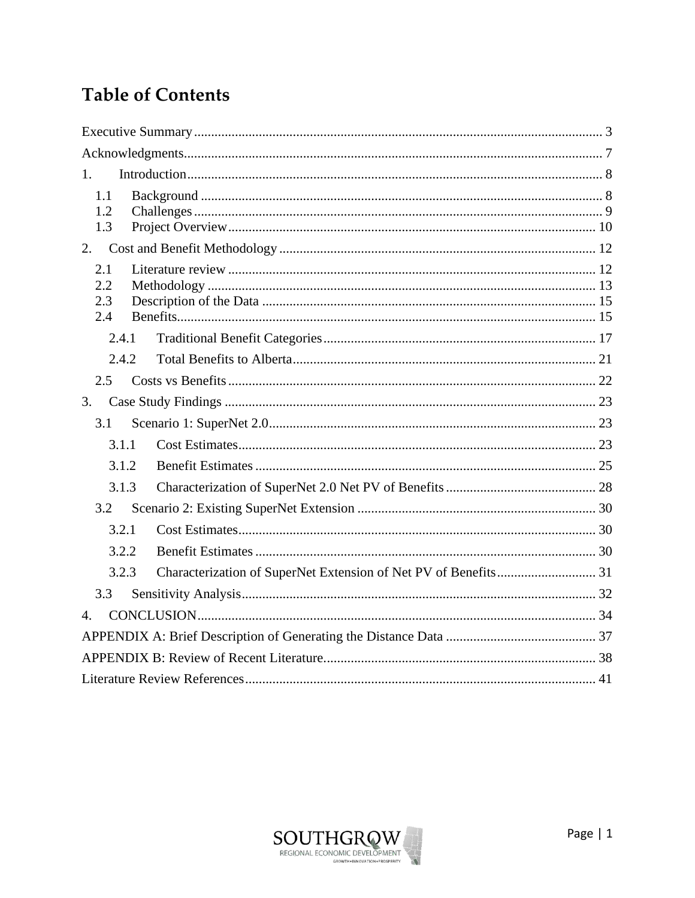## **Table of Contents**

| 1.           |  |  |  |  |
|--------------|--|--|--|--|
| 1.1          |  |  |  |  |
| 1.2<br>1.3   |  |  |  |  |
| 2.           |  |  |  |  |
| 2.1          |  |  |  |  |
| 2.2          |  |  |  |  |
| 2.3          |  |  |  |  |
| 2.4          |  |  |  |  |
| 2.4.1        |  |  |  |  |
| 2.4.2.       |  |  |  |  |
| 2.5          |  |  |  |  |
| 3.           |  |  |  |  |
| 3.1          |  |  |  |  |
| 3.1.1        |  |  |  |  |
| 3.1.2        |  |  |  |  |
| 3.1.3        |  |  |  |  |
| 3.2          |  |  |  |  |
| 3.2.1        |  |  |  |  |
| 3.2.2        |  |  |  |  |
| 3.2.3        |  |  |  |  |
| 3.3          |  |  |  |  |
| $\mathbf{4}$ |  |  |  |  |
|              |  |  |  |  |
|              |  |  |  |  |
|              |  |  |  |  |

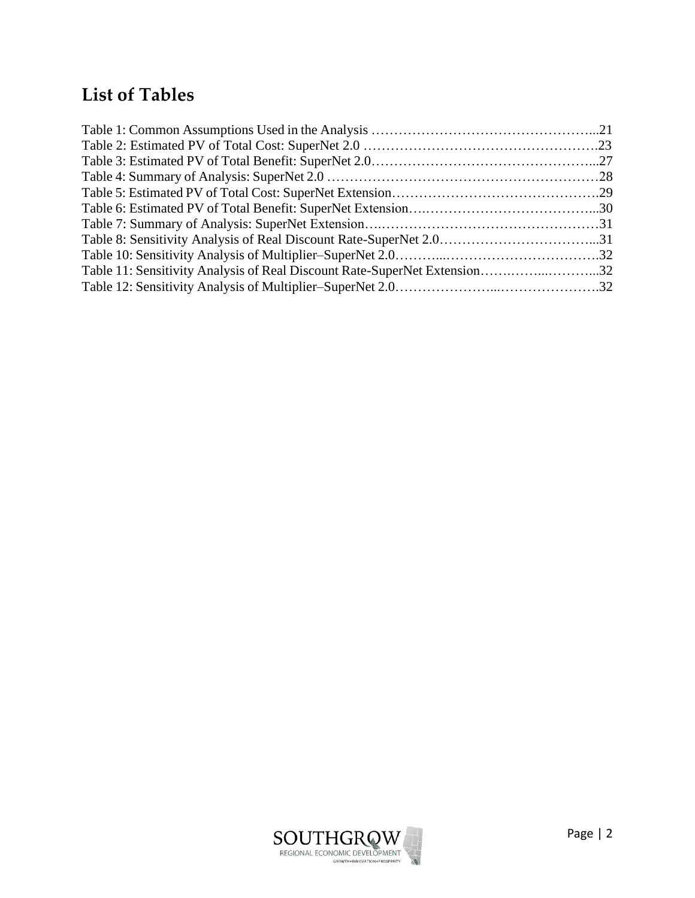## **List of Tables**

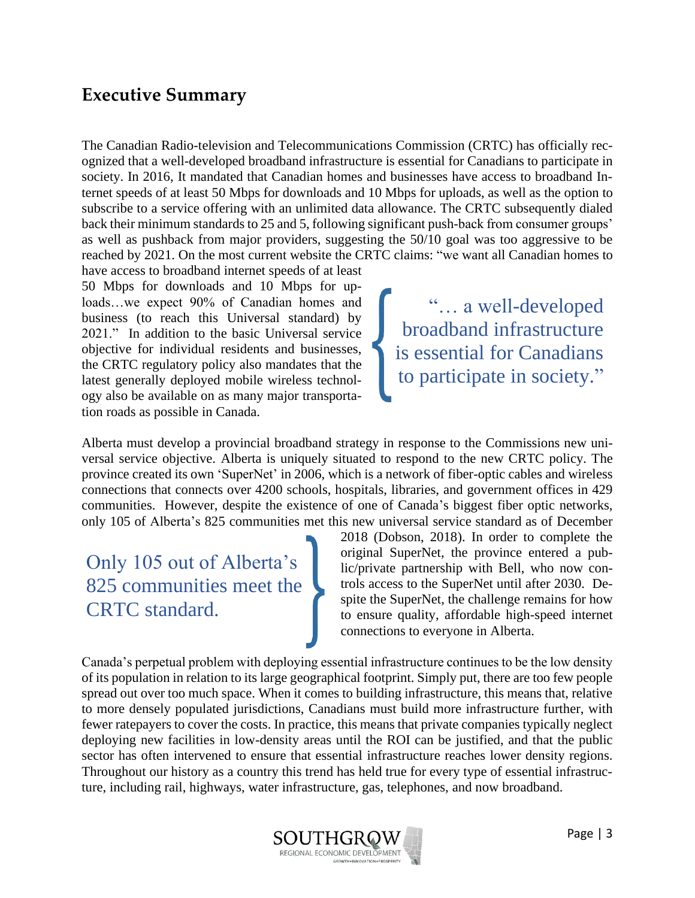### <span id="page-3-0"></span>**Executive Summary**

The Canadian Radio-television and Telecommunications Commission (CRTC) has officially recognized that a well-developed broadband infrastructure is essential for Canadians to participate in society. In 2016, It mandated that Canadian homes and businesses have access to broadband Internet speeds of at least 50 Mbps for downloads and 10 Mbps for uploads, as well as the option to subscribe to a service offering with an unlimited data allowance. The CRTC subsequently dialed back their minimum standards to 25 and 5, following significant push-back from consumer groups' as well as pushback from major providers, suggesting the 50/10 goal was too aggressive to be reached by 2021. On the most current website the CRTC claims: "we want all Canadian homes to

have access to broadband internet speeds of at least 50 Mbps for downloads and 10 Mbps for uploads…we expect 90% of Canadian homes and business (to reach this Universal standard) by 2021." In addition to the basic Universal service objective for individual residents and businesses, the CRTC regulatory policy also mandates that the latest generally deployed mobile wireless technology also be available on as many major transportation roads as possible in Canada.

"… a well-developed broadband infrastructure is essential for Canadians to participate in society."

Alberta must develop a provincial broadband strategy in response to the Commissions new universal service objective. Alberta is uniquely situated to respond to the new CRTC policy. The province created its own 'SuperNet' in 2006, which is a network of fiber-optic cables and wireless connections that connects over 4200 schools, hospitals, libraries, and government offices in 429 communities. However, despite the existence of one of Canada's biggest fiber optic networks, only 105 of Alberta's 825 communities met this new universal service standard as of December

Only 105 out of Alberta's 825 communities meet the CRTC standard.

2018 (Dobson, 2018). In order to complete the original SuperNet, the province entered a public/private partnership with Bell, who now controls access to the SuperNet until after 2030. Despite the SuperNet, the challenge remains for how to ensure quality, affordable high-speed internet connections to everyone in Alberta.

Canada's perpetual problem with deploying essential infrastructure continues to be the low density of its population in relation to its large geographical footprint. Simply put, there are too few people spread out over too much space. When it comes to building infrastructure, this means that, relative to more densely populated jurisdictions, Canadians must build more infrastructure further, with fewer ratepayers to cover the costs. In practice, this means that private companies typically neglect deploying new facilities in low-density areas until the ROI can be justified, and that the public sector has often intervened to ensure that essential infrastructure reaches lower density regions. Throughout our history as a country this trend has held true for every type of essential infrastructure, including rail, highways, water infrastructure, gas, telephones, and now broadband.

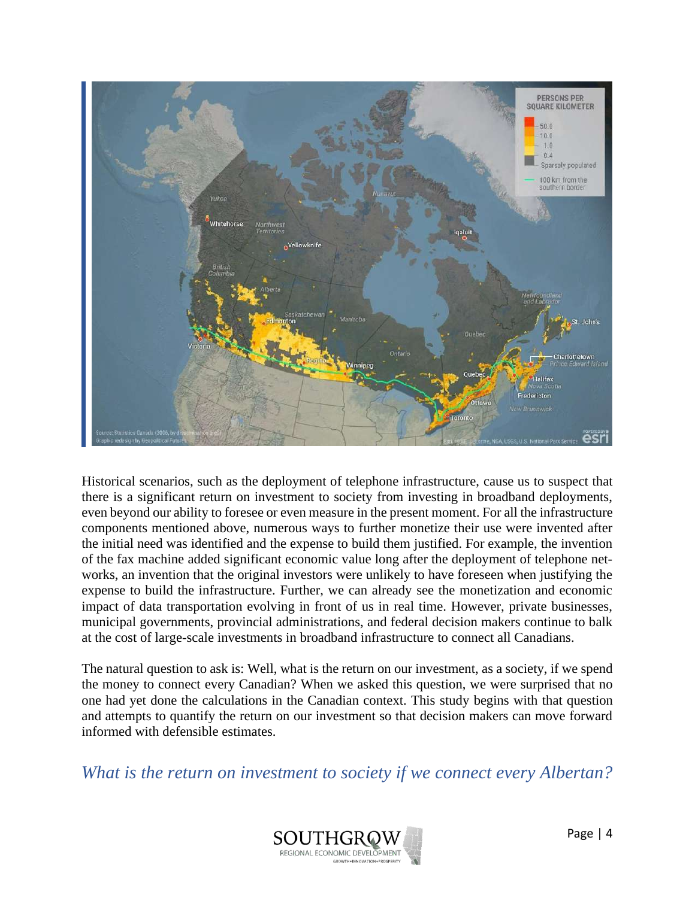

Historical scenarios, such as the deployment of telephone infrastructure, cause us to suspect that there is a significant return on investment to society from investing in broadband deployments, even beyond our ability to foresee or even measure in the present moment. For all the infrastructure components mentioned above, numerous ways to further monetize their use were invented after the initial need was identified and the expense to build them justified. For example, the invention of the fax machine added significant economic value long after the deployment of telephone networks, an invention that the original investors were unlikely to have foreseen when justifying the expense to build the infrastructure. Further, we can already see the monetization and economic impact of data transportation evolving in front of us in real time. However, private businesses, municipal governments, provincial administrations, and federal decision makers continue to balk at the cost of large-scale investments in broadband infrastructure to connect all Canadians.

The natural question to ask is: Well, what is the return on our investment, as a society, if we spend the money to connect every Canadian? When we asked this question, we were surprised that no one had yet done the calculations in the Canadian context. This study begins with that question and attempts to quantify the return on our investment so that decision makers can move forward informed with defensible estimates.

*What is the return on investment to society if we connect every Albertan?*

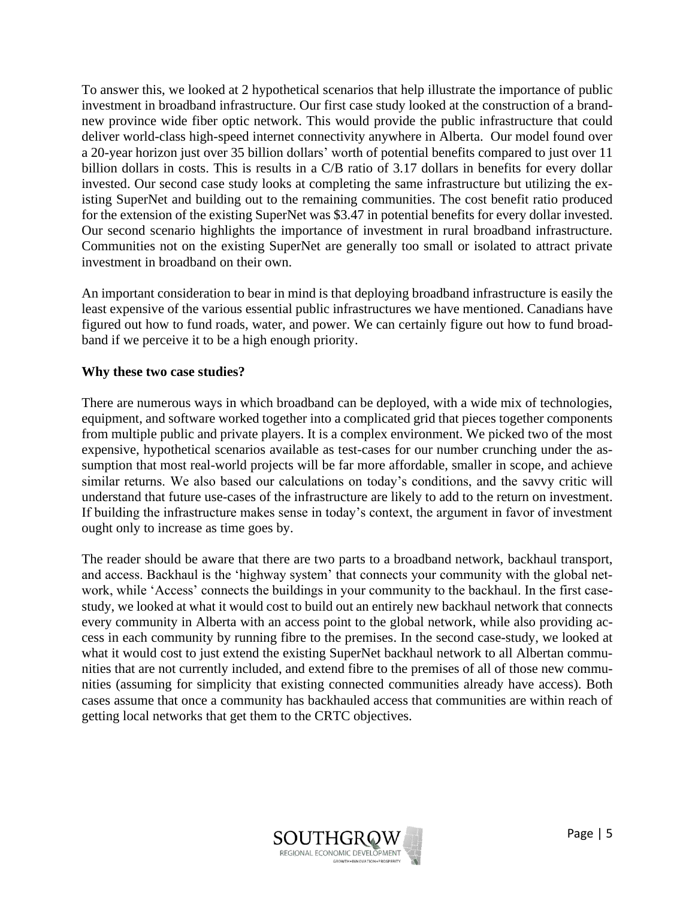To answer this, we looked at 2 hypothetical scenarios that help illustrate the importance of public investment in broadband infrastructure. Our first case study looked at the construction of a brandnew province wide fiber optic network. This would provide the public infrastructure that could deliver world-class high-speed internet connectivity anywhere in Alberta. Our model found over a 20-year horizon just over 35 billion dollars' worth of potential benefits compared to just over 11 billion dollars in costs. This is results in a C/B ratio of 3.17 dollars in benefits for every dollar invested. Our second case study looks at completing the same infrastructure but utilizing the existing SuperNet and building out to the remaining communities. The cost benefit ratio produced for the extension of the existing SuperNet was \$3.47 in potential benefits for every dollar invested. Our second scenario highlights the importance of investment in rural broadband infrastructure. Communities not on the existing SuperNet are generally too small or isolated to attract private investment in broadband on their own.

An important consideration to bear in mind is that deploying broadband infrastructure is easily the least expensive of the various essential public infrastructures we have mentioned. Canadians have figured out how to fund roads, water, and power. We can certainly figure out how to fund broadband if we perceive it to be a high enough priority.

#### **Why these two case studies?**

There are numerous ways in which broadband can be deployed, with a wide mix of technologies, equipment, and software worked together into a complicated grid that pieces together components from multiple public and private players. It is a complex environment. We picked two of the most expensive, hypothetical scenarios available as test-cases for our number crunching under the assumption that most real-world projects will be far more affordable, smaller in scope, and achieve similar returns. We also based our calculations on today's conditions, and the savvy critic will understand that future use-cases of the infrastructure are likely to add to the return on investment. If building the infrastructure makes sense in today's context, the argument in favor of investment ought only to increase as time goes by.

The reader should be aware that there are two parts to a broadband network, backhaul transport, and access. Backhaul is the 'highway system' that connects your community with the global network, while 'Access' connects the buildings in your community to the backhaul. In the first casestudy, we looked at what it would cost to build out an entirely new backhaul network that connects every community in Alberta with an access point to the global network, while also providing access in each community by running fibre to the premises. In the second case-study, we looked at what it would cost to just extend the existing SuperNet backhaul network to all Albertan communities that are not currently included, and extend fibre to the premises of all of those new communities (assuming for simplicity that existing connected communities already have access). Both cases assume that once a community has backhauled access that communities are within reach of getting local networks that get them to the CRTC objectives.

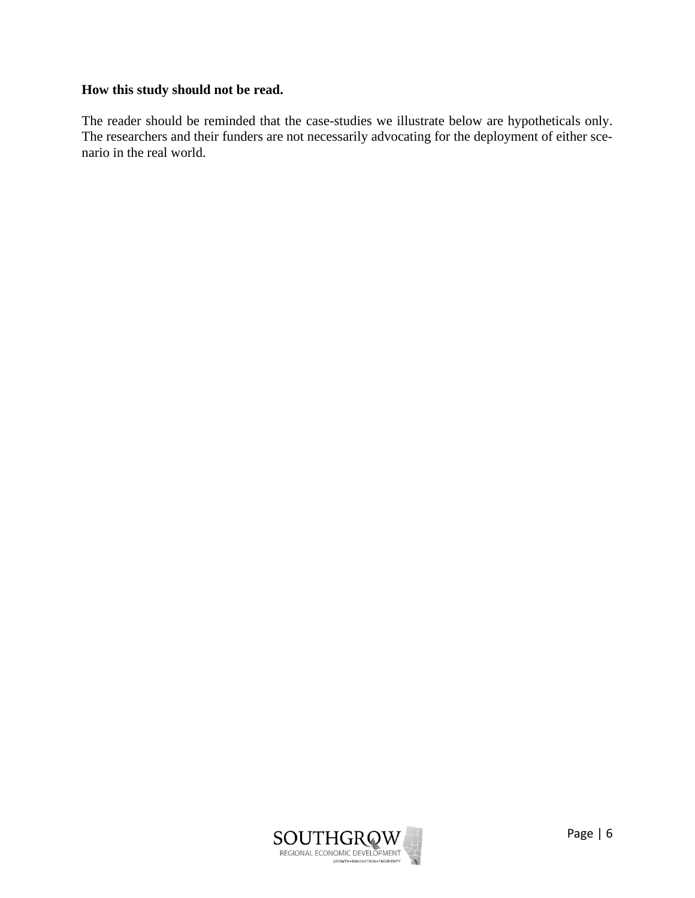#### **How this study should not be read.**

The reader should be reminded that the case-studies we illustrate below are hypotheticals only. The researchers and their funders are not necessarily advocating for the deployment of either scenario in the real world.

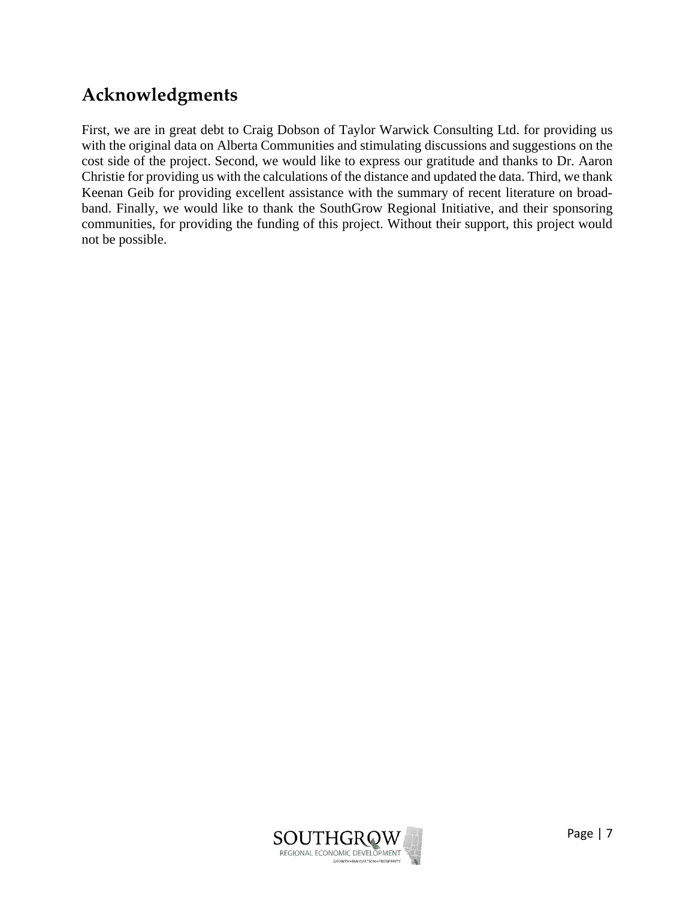## <span id="page-7-0"></span>**Acknowledgments**

First, we are in great debt to Craig Dobson of Taylor Warwick Consulting Ltd. for providing us with the original data on Alberta Communities and stimulating discussions and suggestions on the cost side of the project. Second, we would like to express our gratitude and thanks to Dr. Aaron Christie for providing us with the calculations of the distance and updated the data. Third, we thank Keenan Geib for providing excellent assistance with the summary of recent literature on broadband. Finally, we would like to thank the SouthGrow Regional Initiative, and their sponsoring communities, for providing the funding of this project. Without their support, this project would not be possible.

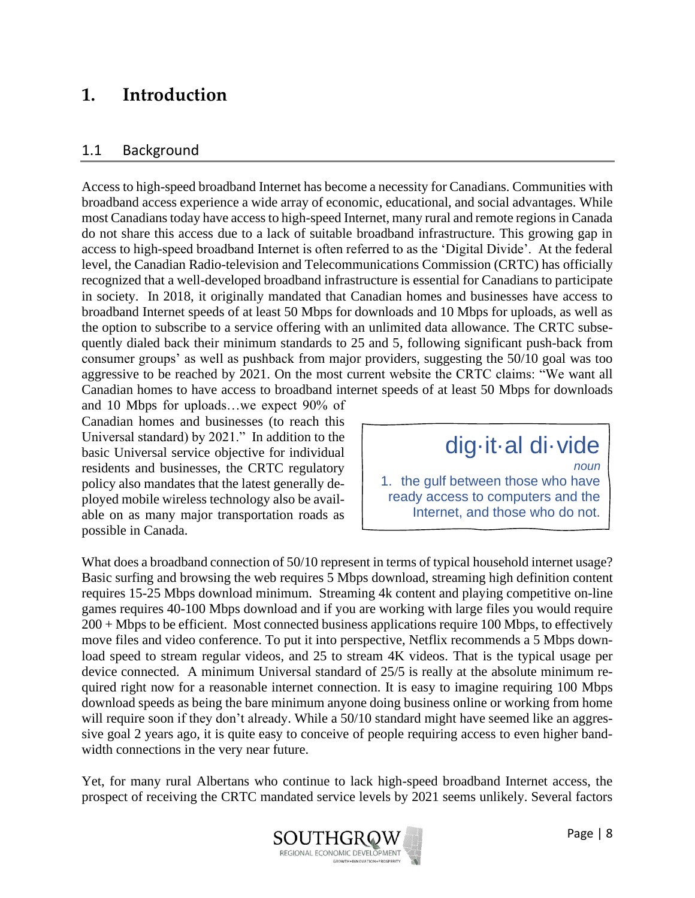### <span id="page-8-0"></span>**1. Introduction**

#### <span id="page-8-1"></span>1.1 Background

Access to high-speed broadband Internet has become a necessity for Canadians. Communities with broadband access experience a wide array of economic, educational, and social advantages. While most Canadians today have access to high-speed Internet, many rural and remote regions in Canada do not share this access due to a lack of suitable broadband infrastructure. This growing gap in access to high-speed broadband Internet is often referred to as the 'Digital Divide'. At the federal level, the Canadian Radio-television and Telecommunications Commission (CRTC) has officially recognized that a well-developed broadband infrastructure is essential for Canadians to participate in society. In 2018, it originally mandated that Canadian homes and businesses have access to broadband Internet speeds of at least 50 Mbps for downloads and 10 Mbps for uploads, as well as the option to subscribe to a service offering with an unlimited data allowance. The CRTC subsequently dialed back their minimum standards to 25 and 5, following significant push-back from consumer groups' as well as pushback from major providers, suggesting the 50/10 goal was too aggressive to be reached by 2021. On the most current website the CRTC claims: "We want all Canadian homes to have access to broadband internet speeds of at least 50 Mbps for downloads

and 10 Mbps for uploads…we expect 90% of Canadian homes and businesses (to reach this Universal standard) by 2021." In addition to the basic Universal service objective for individual residents and businesses, the CRTC regulatory policy also mandates that the latest generally deployed mobile wireless technology also be available on as many major transportation roads as possible in Canada.

# dig·it·al di·vide

*noun* 1. the gulf between those who have ready access to computers and the Internet, and those who do not.

What does a broadband connection of 50/10 represent in terms of typical household internet usage? Basic surfing and browsing the web requires 5 Mbps download, streaming high definition content requires 15-25 Mbps download minimum. Streaming 4k content and playing competitive on-line games requires 40-100 Mbps download and if you are working with large files you would require 200 + Mbps to be efficient. Most connected business applications require 100 Mbps, to effectively move files and video conference. To put it into perspective, Netflix recommends a 5 Mbps download speed to stream regular videos, and 25 to stream 4K videos. That is the typical usage per device connected. A minimum Universal standard of 25/5 is really at the absolute minimum required right now for a reasonable internet connection. It is easy to imagine requiring 100 Mbps download speeds as being the bare minimum anyone doing business online or working from home will require soon if they don't already. While a 50/10 standard might have seemed like an aggressive goal 2 years ago, it is quite easy to conceive of people requiring access to even higher bandwidth connections in the very near future.

.

Yet, for many rural Albertans who continue to lack high-speed broadband Internet access, the prospect of receiving the CRTC mandated service levels by 2021 seems unlikely. Several factors

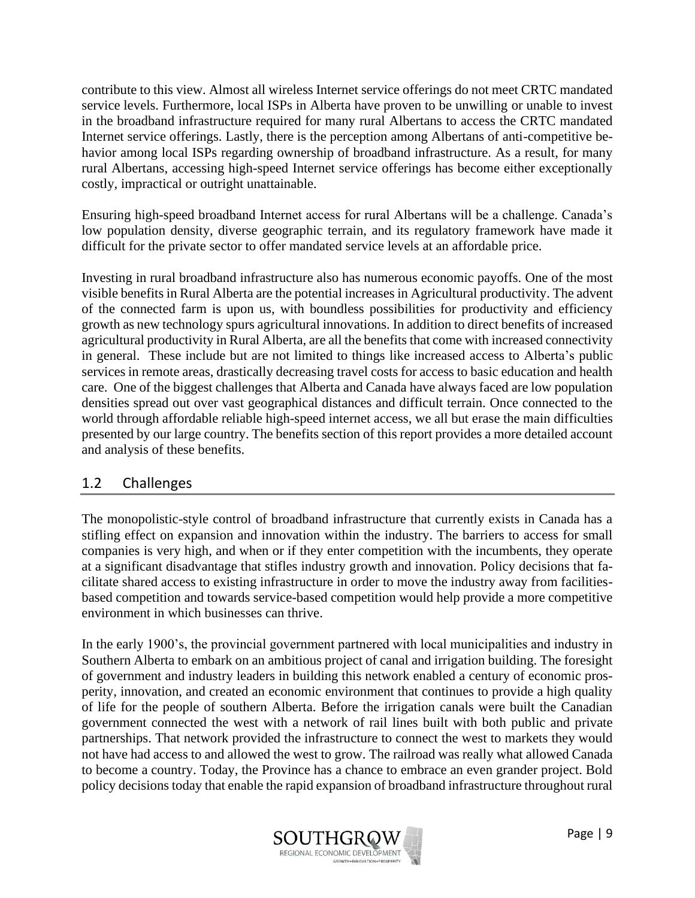contribute to this view. Almost all wireless Internet service offerings do not meet CRTC mandated service levels. Furthermore, local ISPs in Alberta have proven to be unwilling or unable to invest in the broadband infrastructure required for many rural Albertans to access the CRTC mandated Internet service offerings. Lastly, there is the perception among Albertans of anti-competitive behavior among local ISPs regarding ownership of broadband infrastructure. As a result, for many rural Albertans, accessing high-speed Internet service offerings has become either exceptionally costly, impractical or outright unattainable.

Ensuring high-speed broadband Internet access for rural Albertans will be a challenge. Canada's low population density, diverse geographic terrain, and its regulatory framework have made it difficult for the private sector to offer mandated service levels at an affordable price.

Investing in rural broadband infrastructure also has numerous economic payoffs. One of the most visible benefits in Rural Alberta are the potential increases in Agricultural productivity. The advent of the connected farm is upon us, with boundless possibilities for productivity and efficiency growth as new technology spurs agricultural innovations. In addition to direct benefits of increased agricultural productivity in Rural Alberta, are all the benefits that come with increased connectivity in general. These include but are not limited to things like increased access to Alberta's public services in remote areas, drastically decreasing travel costs for access to basic education and health care. One of the biggest challenges that Alberta and Canada have always faced are low population densities spread out over vast geographical distances and difficult terrain. Once connected to the world through affordable reliable high-speed internet access, we all but erase the main difficulties presented by our large country. The benefits section of this report provides a more detailed account and analysis of these benefits.

#### <span id="page-9-0"></span>1.2 Challenges

The monopolistic-style control of broadband infrastructure that currently exists in Canada has a stifling effect on expansion and innovation within the industry. The barriers to access for small companies is very high, and when or if they enter competition with the incumbents, they operate at a significant disadvantage that stifles industry growth and innovation. Policy decisions that facilitate shared access to existing infrastructure in order to move the industry away from facilitiesbased competition and towards service-based competition would help provide a more competitive environment in which businesses can thrive.

In the early 1900's, the provincial government partnered with local municipalities and industry in Southern Alberta to embark on an ambitious project of canal and irrigation building. The foresight of government and industry leaders in building this network enabled a century of economic prosperity, innovation, and created an economic environment that continues to provide a high quality of life for the people of southern Alberta. Before the irrigation canals were built the Canadian government connected the west with a network of rail lines built with both public and private partnerships. That network provided the infrastructure to connect the west to markets they would not have had access to and allowed the west to grow. The railroad was really what allowed Canada to become a country. Today, the Province has a chance to embrace an even grander project. Bold policy decisions today that enable the rapid expansion of broadband infrastructure throughout rural

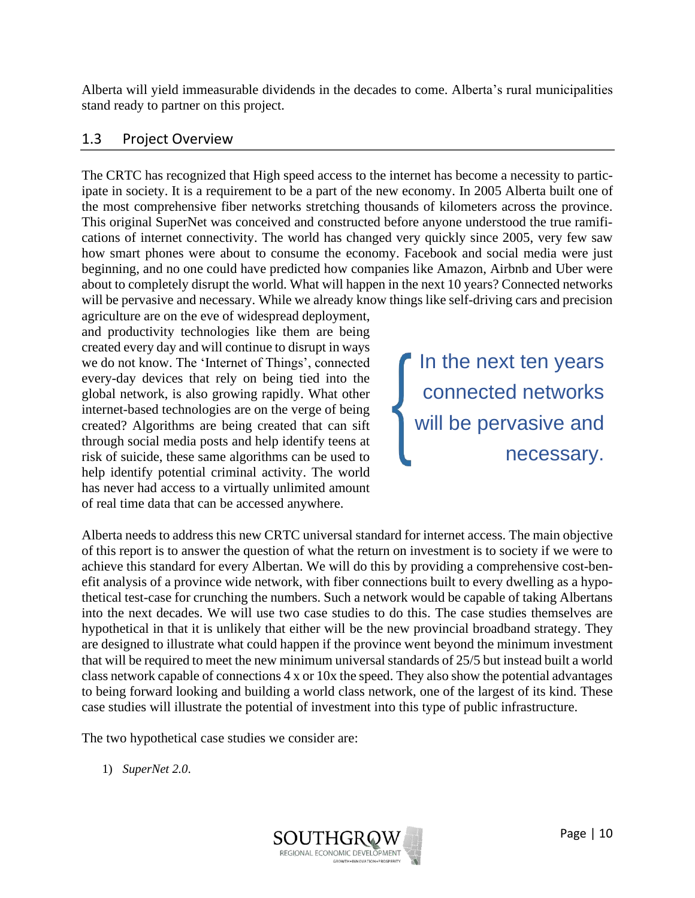Alberta will yield immeasurable dividends in the decades to come. Alberta's rural municipalities stand ready to partner on this project.

#### <span id="page-10-0"></span>1.3 Project Overview

The CRTC has recognized that High speed access to the internet has become a necessity to participate in society. It is a requirement to be a part of the new economy. In 2005 Alberta built one of the most comprehensive fiber networks stretching thousands of kilometers across the province. This original SuperNet was conceived and constructed before anyone understood the true ramifications of internet connectivity. The world has changed very quickly since 2005, very few saw how smart phones were about to consume the economy. Facebook and social media were just beginning, and no one could have predicted how companies like Amazon, Airbnb and Uber were about to completely disrupt the world. What will happen in the next 10 years? Connected networks will be pervasive and necessary. While we already know things like self-driving cars and precision

agriculture are on the eve of widespread deployment, and productivity technologies like them are being created every day and will continue to disrupt in ways we do not know. The 'Internet of Things', connected every-day devices that rely on being tied into the global network, is also growing rapidly. What other internet-based technologies are on the verge of being created? Algorithms are being created that can sift through social media posts and help identify teens at risk of suicide, these same algorithms can be used to help identify potential criminal activity. The world has never had access to a virtually unlimited amount of real time data that can be accessed anywhere.

In the next ten years connected networks will be pervasive and necessary.

Alberta needs to address this new CRTC universal standard for internet access. The main objective of this report is to answer the question of what the return on investment is to society if we were to achieve this standard for every Albertan. We will do this by providing a comprehensive cost-benefit analysis of a province wide network, with fiber connections built to every dwelling as a hypothetical test-case for crunching the numbers. Such a network would be capable of taking Albertans into the next decades. We will use two case studies to do this. The case studies themselves are hypothetical in that it is unlikely that either will be the new provincial broadband strategy. They are designed to illustrate what could happen if the province went beyond the minimum investment that will be required to meet the new minimum universal standards of 25/5 but instead built a world class network capable of connections 4 x or 10x the speed. They also show the potential advantages to being forward looking and building a world class network, one of the largest of its kind. These case studies will illustrate the potential of investment into this type of public infrastructure.

The two hypothetical case studies we consider are:

1) *SuperNet 2.0*.

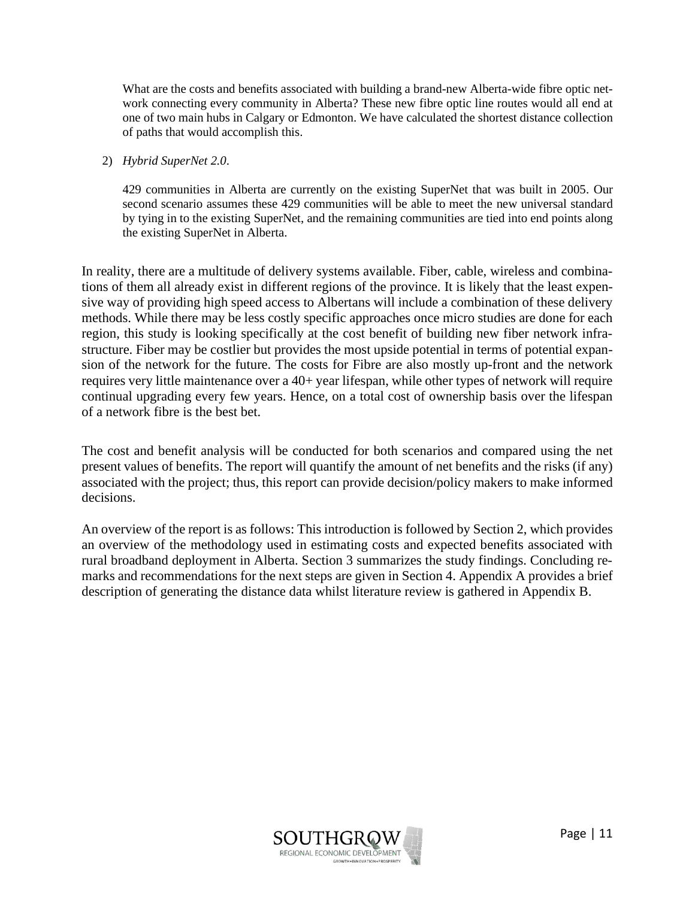What are the costs and benefits associated with building a brand-new Alberta-wide fibre optic network connecting every community in Alberta? These new fibre optic line routes would all end at one of two main hubs in Calgary or Edmonton. We have calculated the shortest distance collection of paths that would accomplish this.

#### 2) *Hybrid SuperNet 2.0*.

429 communities in Alberta are currently on the existing SuperNet that was built in 2005. Our second scenario assumes these 429 communities will be able to meet the new universal standard by tying in to the existing SuperNet, and the remaining communities are tied into end points along the existing SuperNet in Alberta.

In reality, there are a multitude of delivery systems available. Fiber, cable, wireless and combinations of them all already exist in different regions of the province. It is likely that the least expensive way of providing high speed access to Albertans will include a combination of these delivery methods. While there may be less costly specific approaches once micro studies are done for each region, this study is looking specifically at the cost benefit of building new fiber network infrastructure. Fiber may be costlier but provides the most upside potential in terms of potential expansion of the network for the future. The costs for Fibre are also mostly up-front and the network requires very little maintenance over a 40+ year lifespan, while other types of network will require continual upgrading every few years. Hence, on a total cost of ownership basis over the lifespan of a network fibre is the best bet.

The cost and benefit analysis will be conducted for both scenarios and compared using the net present values of benefits. The report will quantify the amount of net benefits and the risks (if any) associated with the project; thus, this report can provide decision/policy makers to make informed decisions.

An overview of the report is as follows: This introduction is followed by Section 2, which provides an overview of the methodology used in estimating costs and expected benefits associated with rural broadband deployment in Alberta. Section 3 summarizes the study findings. Concluding remarks and recommendations for the next steps are given in Section 4. Appendix A provides a brief description of generating the distance data whilst literature review is gathered in Appendix B.

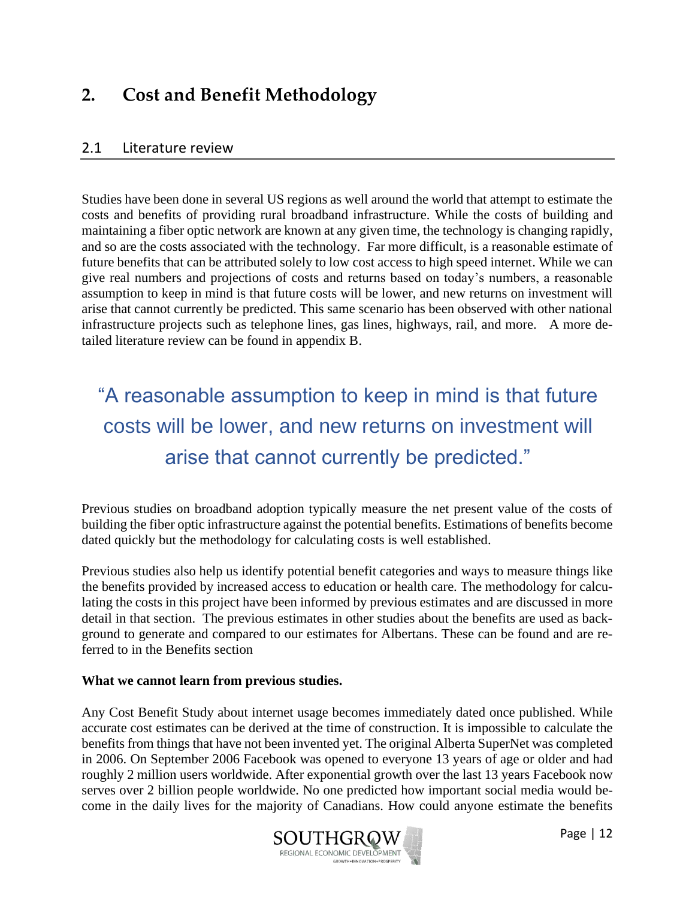### <span id="page-12-0"></span>**2. Cost and Benefit Methodology**

#### <span id="page-12-1"></span>2.1 Literature review

Studies have been done in several US regions as well around the world that attempt to estimate the costs and benefits of providing rural broadband infrastructure. While the costs of building and maintaining a fiber optic network are known at any given time, the technology is changing rapidly, and so are the costs associated with the technology. Far more difficult, is a reasonable estimate of future benefits that can be attributed solely to low cost access to high speed internet. While we can give real numbers and projections of costs and returns based on today's numbers, a reasonable assumption to keep in mind is that future costs will be lower, and new returns on investment will arise that cannot currently be predicted. This same scenario has been observed with other national infrastructure projects such as telephone lines, gas lines, highways, rail, and more. A more detailed literature review can be found in appendix B.

## "A reasonable assumption to keep in mind is that future costs will be lower, and new returns on investment will arise that cannot currently be predicted."

Previous studies on broadband adoption typically measure the net present value of the costs of building the fiber optic infrastructure against the potential benefits. Estimations of benefits become dated quickly but the methodology for calculating costs is well established.

Previous studies also help us identify potential benefit categories and ways to measure things like the benefits provided by increased access to education or health care. The methodology for calculating the costs in this project have been informed by previous estimates and are discussed in more detail in that section. The previous estimates in other studies about the benefits are used as background to generate and compared to our estimates for Albertans. These can be found and are referred to in the Benefits section

#### **What we cannot learn from previous studies.**

Any Cost Benefit Study about internet usage becomes immediately dated once published. While accurate cost estimates can be derived at the time of construction. It is impossible to calculate the benefits from things that have not been invented yet. The original Alberta SuperNet was completed in 2006. On September 2006 Facebook was opened to everyone 13 years of age or older and had roughly 2 million users worldwide. After exponential growth over the last 13 years Facebook now serves over 2 billion people worldwide. No one predicted how important social media would become in the daily lives for the majority of Canadians. How could anyone estimate the benefits

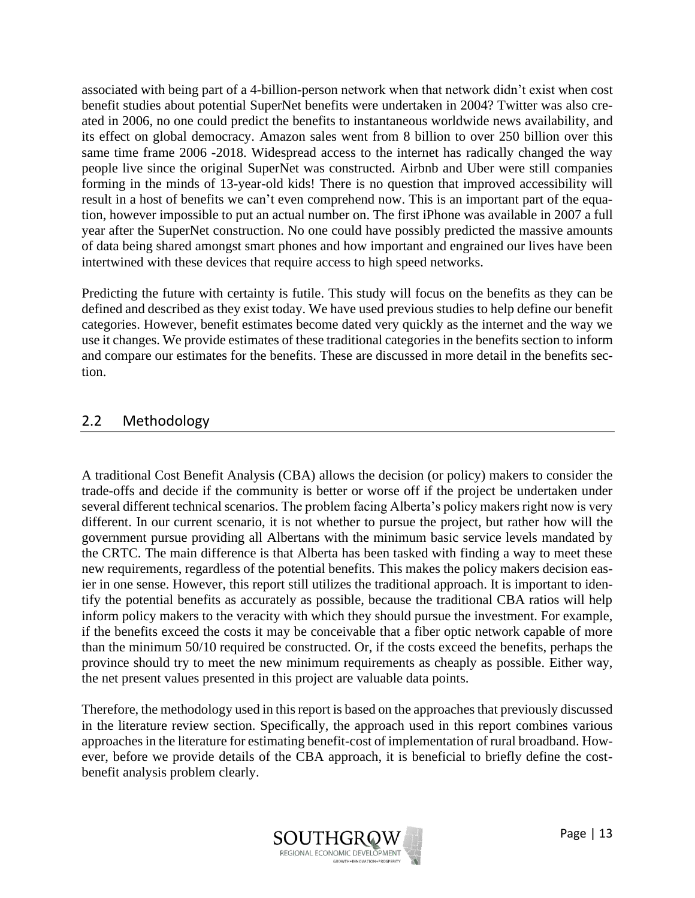associated with being part of a 4-billion-person network when that network didn't exist when cost benefit studies about potential SuperNet benefits were undertaken in 2004? Twitter was also created in 2006, no one could predict the benefits to instantaneous worldwide news availability, and its effect on global democracy. Amazon sales went from 8 billion to over 250 billion over this same time frame 2006 -2018. Widespread access to the internet has radically changed the way people live since the original SuperNet was constructed. Airbnb and Uber were still companies forming in the minds of 13-year-old kids! There is no question that improved accessibility will result in a host of benefits we can't even comprehend now. This is an important part of the equation, however impossible to put an actual number on. The first iPhone was available in 2007 a full year after the SuperNet construction. No one could have possibly predicted the massive amounts of data being shared amongst smart phones and how important and engrained our lives have been intertwined with these devices that require access to high speed networks.

Predicting the future with certainty is futile. This study will focus on the benefits as they can be defined and described as they exist today. We have used previous studies to help define our benefit categories. However, benefit estimates become dated very quickly as the internet and the way we use it changes. We provide estimates of these traditional categories in the benefits section to inform and compare our estimates for the benefits. These are discussed in more detail in the benefits section.

#### <span id="page-13-0"></span>2.2 Methodology

A traditional Cost Benefit Analysis (CBA) allows the decision (or policy) makers to consider the trade-offs and decide if the community is better or worse off if the project be undertaken under several different technical scenarios. The problem facing Alberta's policy makers right now is very different. In our current scenario, it is not whether to pursue the project, but rather how will the government pursue providing all Albertans with the minimum basic service levels mandated by the CRTC. The main difference is that Alberta has been tasked with finding a way to meet these new requirements, regardless of the potential benefits. This makes the policy makers decision easier in one sense. However, this report still utilizes the traditional approach. It is important to identify the potential benefits as accurately as possible, because the traditional CBA ratios will help inform policy makers to the veracity with which they should pursue the investment. For example, if the benefits exceed the costs it may be conceivable that a fiber optic network capable of more than the minimum 50/10 required be constructed. Or, if the costs exceed the benefits, perhaps the province should try to meet the new minimum requirements as cheaply as possible. Either way, the net present values presented in this project are valuable data points.

Therefore, the methodology used in this report is based on the approaches that previously discussed in the literature review section. Specifically, the approach used in this report combines various approaches in the literature for estimating benefit-cost of implementation of rural broadband. However, before we provide details of the CBA approach, it is beneficial to briefly define the costbenefit analysis problem clearly.

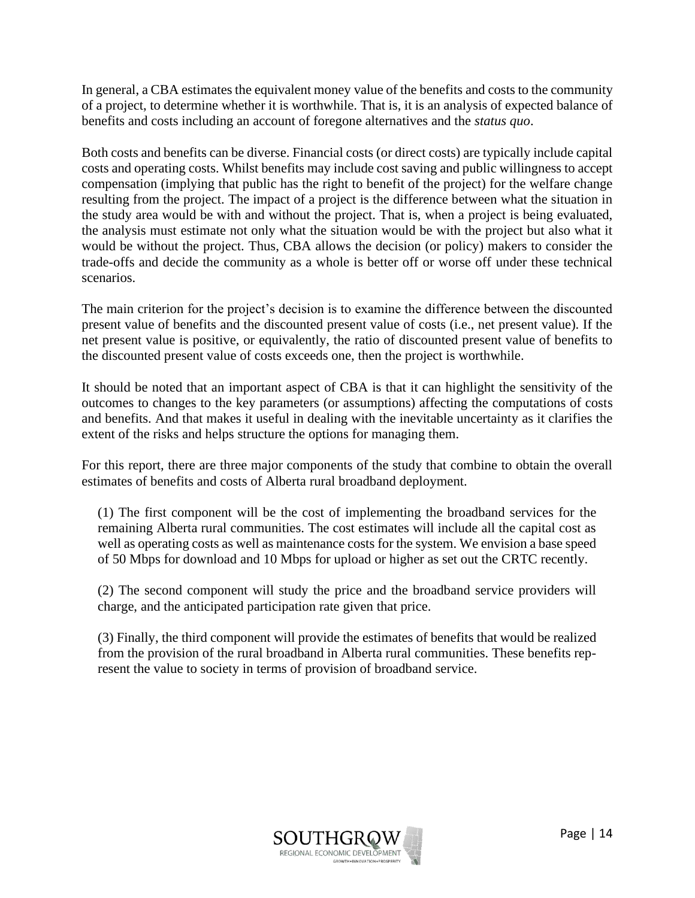In general, a CBA estimates the equivalent money value of the benefits and costs to the community of a project, to determine whether it is worthwhile. That is, it is an analysis of expected balance of benefits and costs including an account of foregone alternatives and the *status quo*.

Both costs and benefits can be diverse. Financial costs (or direct costs) are typically include capital costs and operating costs. Whilst benefits may include cost saving and public willingness to accept compensation (implying that public has the right to benefit of the project) for the welfare change resulting from the project. The impact of a project is the difference between what the situation in the study area would be with and without the project. That is, when a project is being evaluated, the analysis must estimate not only what the situation would be with the project but also what it would be without the project. Thus, CBA allows the decision (or policy) makers to consider the trade-offs and decide the community as a whole is better off or worse off under these technical scenarios.

The main criterion for the project's decision is to examine the difference between the discounted present value of benefits and the discounted present value of costs (i.e., net present value). If the net present value is positive, or equivalently, the ratio of discounted present value of benefits to the discounted present value of costs exceeds one, then the project is worthwhile.

It should be noted that an important aspect of CBA is that it can highlight the sensitivity of the outcomes to changes to the key parameters (or assumptions) affecting the computations of costs and benefits. And that makes it useful in dealing with the inevitable uncertainty as it clarifies the extent of the risks and helps structure the options for managing them.

For this report, there are three major components of the study that combine to obtain the overall estimates of benefits and costs of Alberta rural broadband deployment.

(1) The first component will be the cost of implementing the broadband services for the remaining Alberta rural communities. The cost estimates will include all the capital cost as well as operating costs as well as maintenance costs for the system. We envision a base speed of 50 Mbps for download and 10 Mbps for upload or higher as set out the CRTC recently.

(2) The second component will study the price and the broadband service providers will charge, and the anticipated participation rate given that price.

(3) Finally, the third component will provide the estimates of benefits that would be realized from the provision of the rural broadband in Alberta rural communities. These benefits represent the value to society in terms of provision of broadband service.

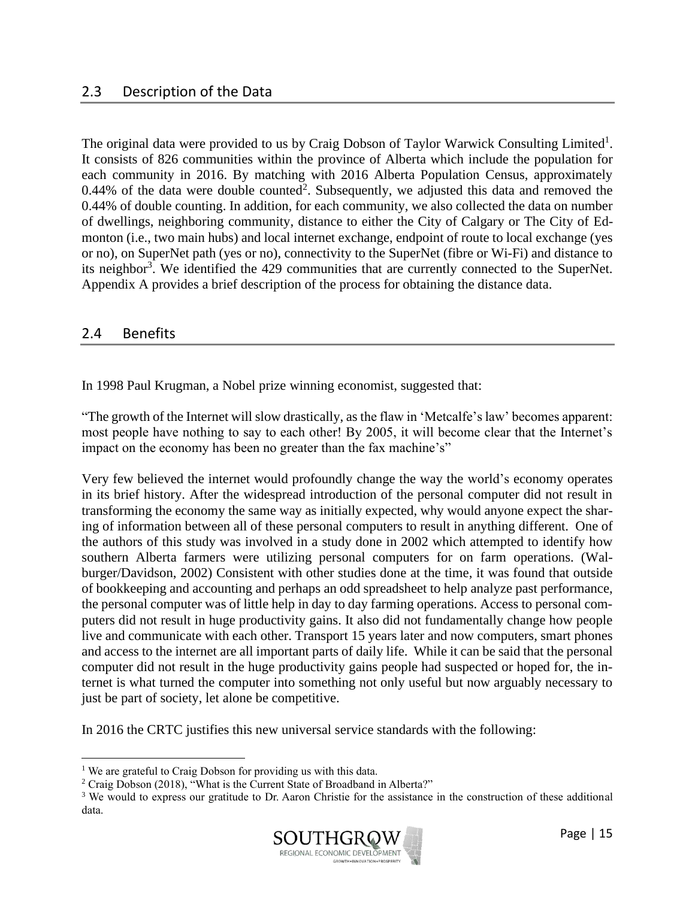#### <span id="page-15-0"></span>2.3 Description of the Data

The original data were provided to us by Craig Dobson of Taylor Warwick Consulting Limited<sup>1</sup>. It consists of 826 communities within the province of Alberta which include the population for each community in 2016. By matching with 2016 Alberta Population Census, approximately 0.44% of the data were double counted<sup>2</sup>. Subsequently, we adjusted this data and removed the 0.44% of double counting. In addition, for each community, we also collected the data on number of dwellings, neighboring community, distance to either the City of Calgary or The City of Edmonton (i.e., two main hubs) and local internet exchange, endpoint of route to local exchange (yes or no), on SuperNet path (yes or no), connectivity to the SuperNet (fibre or Wi-Fi) and distance to its neighbor<sup>3</sup>. We identified the 429 communities that are currently connected to the SuperNet. Appendix A provides a brief description of the process for obtaining the distance data.

#### <span id="page-15-1"></span>2.4 Benefits

In 1998 Paul Krugman, a Nobel prize winning economist, suggested that:

"The growth of the Internet will slow drastically, as the flaw in 'Metcalfe's law' becomes apparent: most people have nothing to say to each other! By 2005, it will become clear that the Internet's impact on the economy has been no greater than the fax machine's"

Very few believed the internet would profoundly change the way the world's economy operates in its brief history. After the widespread introduction of the personal computer did not result in transforming the economy the same way as initially expected, why would anyone expect the sharing of information between all of these personal computers to result in anything different. One of the authors of this study was involved in a study done in 2002 which attempted to identify how southern Alberta farmers were utilizing personal computers for on farm operations. (Walburger/Davidson, 2002) Consistent with other studies done at the time, it was found that outside of bookkeeping and accounting and perhaps an odd spreadsheet to help analyze past performance, the personal computer was of little help in day to day farming operations. Access to personal computers did not result in huge productivity gains. It also did not fundamentally change how people live and communicate with each other. Transport 15 years later and now computers, smart phones and access to the internet are all important parts of daily life. While it can be said that the personal computer did not result in the huge productivity gains people had suspected or hoped for, the internet is what turned the computer into something not only useful but now arguably necessary to just be part of society, let alone be competitive.

In 2016 the CRTC justifies this new universal service standards with the following:

<sup>&</sup>lt;sup>3</sup> We would to express our gratitude to Dr. Aaron Christie for the assistance in the construction of these additional data.



<sup>&</sup>lt;sup>1</sup> We are grateful to Craig Dobson for providing us with this data.

<sup>&</sup>lt;sup>2</sup> Craig Dobson (2018), "What is the Current State of Broadband in Alberta?"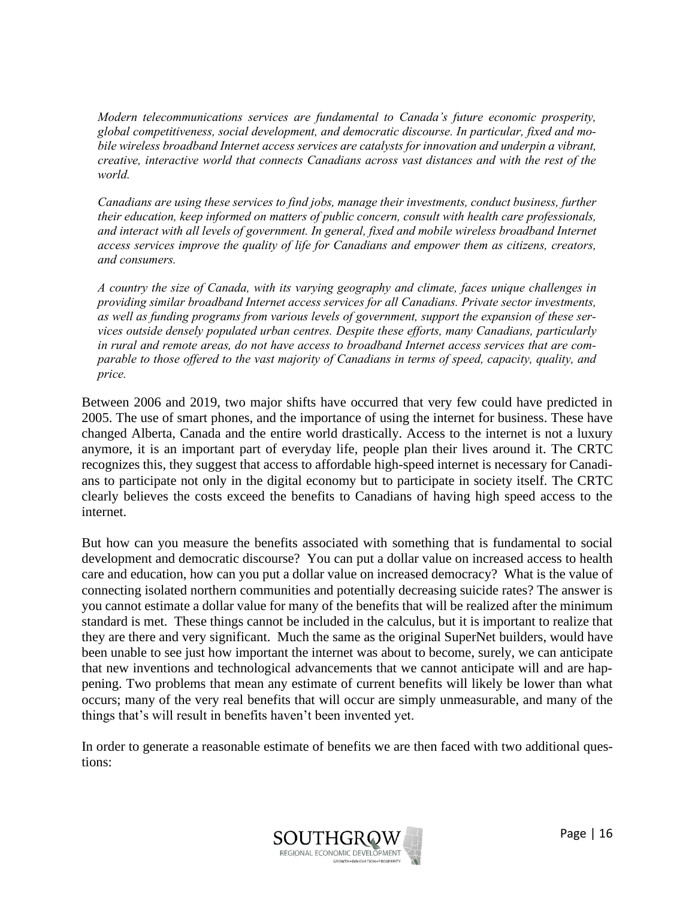*Modern telecommunications services are fundamental to Canada's future economic prosperity, global competitiveness, social development, and democratic discourse. In particular, fixed and mobile wireless broadband Internet access services are catalysts for innovation and underpin a vibrant, creative, interactive world that connects Canadians across vast distances and with the rest of the world.* 

*Canadians are using these services to find jobs, manage their investments, conduct business, further their education, keep informed on matters of public concern, consult with health care professionals, and interact with all levels of government. In general, fixed and mobile wireless broadband Internet access services improve the quality of life for Canadians and empower them as citizens, creators, and consumers.* 

*A country the size of Canada, with its varying geography and climate, faces unique challenges in providing similar broadband Internet access services for all Canadians. Private sector investments, as well as funding programs from various levels of government, support the expansion of these services outside densely populated urban centres. Despite these efforts, many Canadians, particularly in rural and remote areas, do not have access to broadband Internet access services that are comparable to those offered to the vast majority of Canadians in terms of speed, capacity, quality, and price.* 

Between 2006 and 2019, two major shifts have occurred that very few could have predicted in 2005. The use of smart phones, and the importance of using the internet for business. These have changed Alberta, Canada and the entire world drastically. Access to the internet is not a luxury anymore, it is an important part of everyday life, people plan their lives around it. The CRTC recognizes this, they suggest that access to affordable high-speed internet is necessary for Canadians to participate not only in the digital economy but to participate in society itself. The CRTC clearly believes the costs exceed the benefits to Canadians of having high speed access to the internet.

But how can you measure the benefits associated with something that is fundamental to social development and democratic discourse? You can put a dollar value on increased access to health care and education, how can you put a dollar value on increased democracy? What is the value of connecting isolated northern communities and potentially decreasing suicide rates? The answer is you cannot estimate a dollar value for many of the benefits that will be realized after the minimum standard is met. These things cannot be included in the calculus, but it is important to realize that they are there and very significant. Much the same as the original SuperNet builders, would have been unable to see just how important the internet was about to become, surely, we can anticipate that new inventions and technological advancements that we cannot anticipate will and are happening. Two problems that mean any estimate of current benefits will likely be lower than what occurs; many of the very real benefits that will occur are simply unmeasurable, and many of the things that's will result in benefits haven't been invented yet.

In order to generate a reasonable estimate of benefits we are then faced with two additional questions:

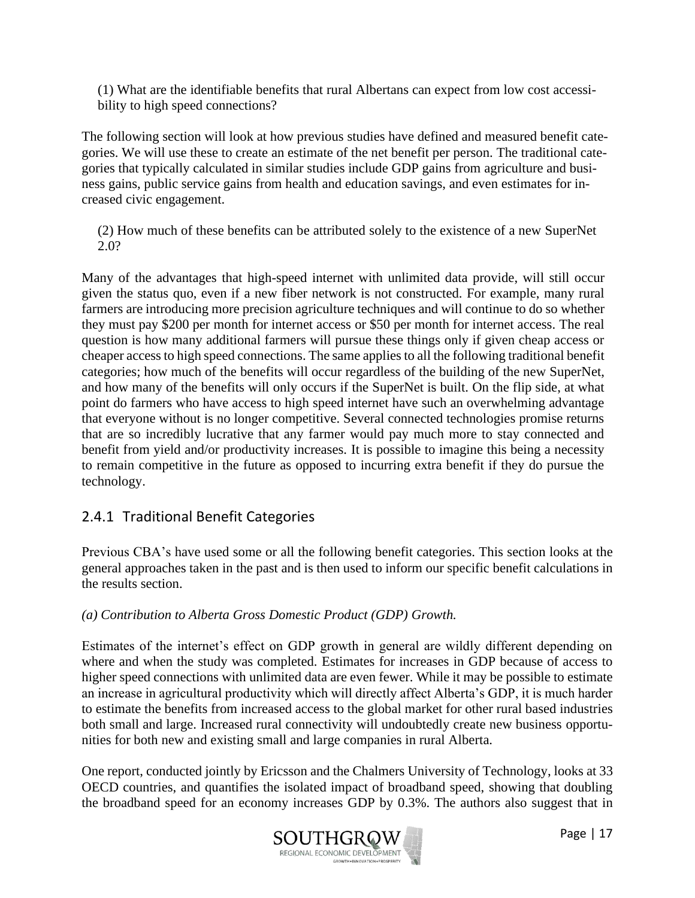(1) What are the identifiable benefits that rural Albertans can expect from low cost accessibility to high speed connections?

The following section will look at how previous studies have defined and measured benefit categories. We will use these to create an estimate of the net benefit per person. The traditional categories that typically calculated in similar studies include GDP gains from agriculture and business gains, public service gains from health and education savings, and even estimates for increased civic engagement.

(2) How much of these benefits can be attributed solely to the existence of a new SuperNet 2.0?

Many of the advantages that high-speed internet with unlimited data provide, will still occur given the status quo, even if a new fiber network is not constructed. For example, many rural farmers are introducing more precision agriculture techniques and will continue to do so whether they must pay \$200 per month for internet access or \$50 per month for internet access. The real question is how many additional farmers will pursue these things only if given cheap access or cheaper access to high speed connections. The same applies to all the following traditional benefit categories; how much of the benefits will occur regardless of the building of the new SuperNet, and how many of the benefits will only occurs if the SuperNet is built. On the flip side, at what point do farmers who have access to high speed internet have such an overwhelming advantage that everyone without is no longer competitive. Several connected technologies promise returns that are so incredibly lucrative that any farmer would pay much more to stay connected and benefit from yield and/or productivity increases. It is possible to imagine this being a necessity to remain competitive in the future as opposed to incurring extra benefit if they do pursue the technology.

#### <span id="page-17-0"></span>2.4.1 Traditional Benefit Categories

Previous CBA's have used some or all the following benefit categories. This section looks at the general approaches taken in the past and is then used to inform our specific benefit calculations in the results section.

#### *(a) Contribution to Alberta Gross Domestic Product (GDP) Growth.*

Estimates of the internet's effect on GDP growth in general are wildly different depending on where and when the study was completed. Estimates for increases in GDP because of access to higher speed connections with unlimited data are even fewer. While it may be possible to estimate an increase in agricultural productivity which will directly affect Alberta's GDP, it is much harder to estimate the benefits from increased access to the global market for other rural based industries both small and large. Increased rural connectivity will undoubtedly create new business opportunities for both new and existing small and large companies in rural Alberta.

One report, conducted jointly by Ericsson and the Chalmers University of Technology, looks at 33 OECD countries, and quantifies the isolated impact of broadband speed, showing that doubling the broadband speed for an economy increases GDP by 0.3%. The authors also suggest that in

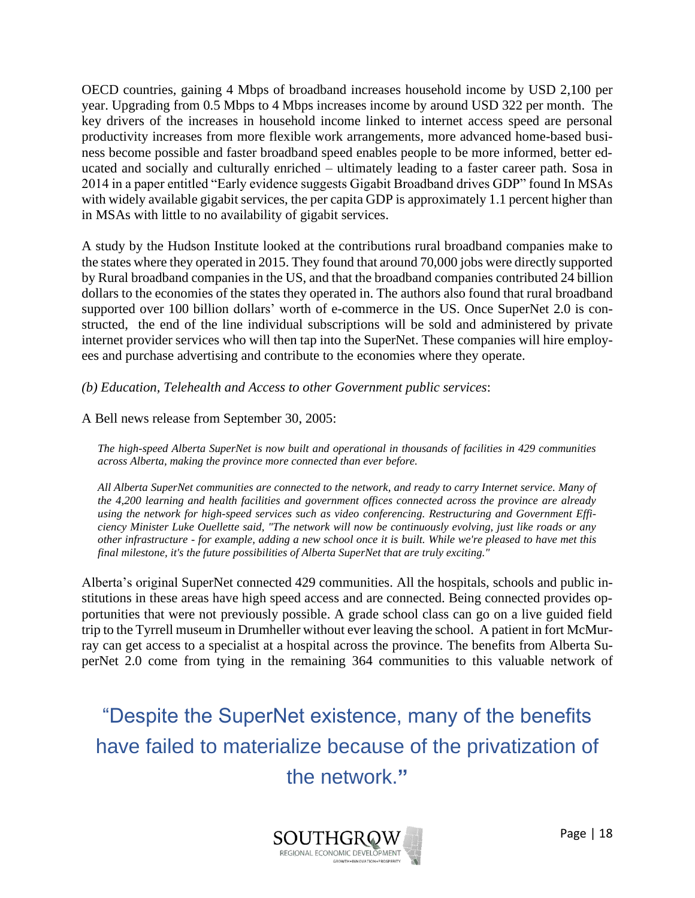OECD countries, gaining 4 Mbps of broadband increases household income by USD 2,100 per year. Upgrading from 0.5 Mbps to 4 Mbps increases income by around USD 322 per month. The key drivers of the increases in household income linked to internet access speed are personal productivity increases from more flexible work arrangements, more advanced home-based business become possible and faster broadband speed enables people to be more informed, better educated and socially and culturally enriched – ultimately leading to a faster career path. Sosa in 2014 in a paper entitled "Early evidence suggests Gigabit Broadband drives GDP" found In MSAs with widely available gigabit services, the per capita GDP is approximately 1.1 percent higher than in MSAs with little to no availability of gigabit services.

A study by the Hudson Institute looked at the contributions rural broadband companies make to the states where they operated in 2015. They found that around 70,000 jobs were directly supported by Rural broadband companies in the US, and that the broadband companies contributed 24 billion dollars to the economies of the states they operated in. The authors also found that rural broadband supported over 100 billion dollars' worth of e-commerce in the US. Once SuperNet 2.0 is constructed, the end of the line individual subscriptions will be sold and administered by private internet provider services who will then tap into the SuperNet. These companies will hire employees and purchase advertising and contribute to the economies where they operate.

*(b) Education, Telehealth and Access to other Government public services*:

A Bell news release from September 30, 2005:

*The high-speed Alberta SuperNet is now built and operational in thousands of facilities in 429 communities across Alberta, making the province more connected than ever before.*

*All Alberta SuperNet communities are connected to the network, and ready to carry Internet service. Many of the 4,200 learning and health facilities and government offices connected across the province are already using the network for high-speed services such as video conferencing. Restructuring and Government Efficiency Minister Luke Ouellette said, "The network will now be continuously evolving, just like roads or any other infrastructure - for example, adding a new school once it is built. While we're pleased to have met this final milestone, it's the future possibilities of Alberta SuperNet that are truly exciting."*

Alberta's original SuperNet connected 429 communities. All the hospitals, schools and public institutions in these areas have high speed access and are connected. Being connected provides opportunities that were not previously possible. A grade school class can go on a live guided field trip to the Tyrrell museum in Drumheller without ever leaving the school. A patient in fort McMurray can get access to a specialist at a hospital across the province. The benefits from Alberta SuperNet 2.0 come from tying in the remaining 364 communities to this valuable network of

"Despite the SuperNet existence, many of the benefits have failed to materialize because of the privatization of the network.**"**

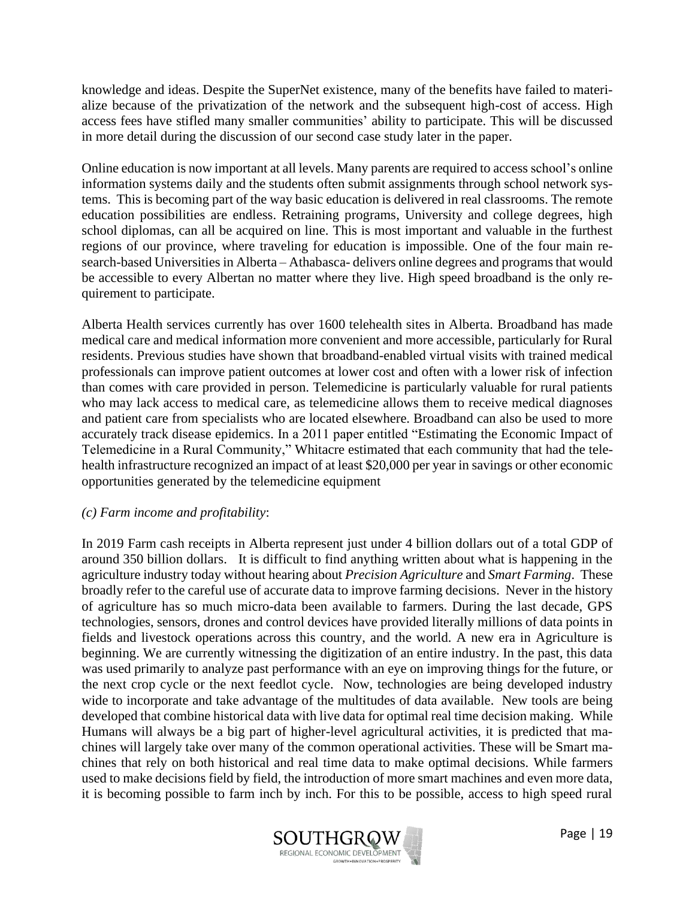knowledge and ideas. Despite the SuperNet existence, many of the benefits have failed to materialize because of the privatization of the network and the subsequent high-cost of access. High access fees have stifled many smaller communities' ability to participate. This will be discussed in more detail during the discussion of our second case study later in the paper.

Online education is now important at all levels. Many parents are required to access school's online information systems daily and the students often submit assignments through school network systems. This is becoming part of the way basic education is delivered in real classrooms. The remote education possibilities are endless. Retraining programs, University and college degrees, high school diplomas, can all be acquired on line. This is most important and valuable in the furthest regions of our province, where traveling for education is impossible. One of the four main research-based Universities in Alberta – Athabasca- delivers online degrees and programs that would be accessible to every Albertan no matter where they live. High speed broadband is the only requirement to participate.

Alberta Health services currently has over 1600 telehealth sites in Alberta. Broadband has made medical care and medical information more convenient and more accessible, particularly for Rural residents. Previous studies have shown that broadband-enabled virtual visits with trained medical professionals can improve patient outcomes at lower cost and often with a lower risk of infection than comes with care provided in person. Telemedicine is particularly valuable for rural patients who may lack access to medical care, as telemedicine allows them to receive medical diagnoses and patient care from specialists who are located elsewhere. Broadband can also be used to more accurately track disease epidemics. In a 2011 paper entitled "Estimating the Economic Impact of Telemedicine in a Rural Community," Whitacre estimated that each community that had the telehealth infrastructure recognized an impact of at least \$20,000 per year in savings or other economic opportunities generated by the telemedicine equipment

#### *(c) Farm income and profitability*:

In 2019 Farm cash receipts in Alberta represent just under 4 billion dollars out of a total GDP of around 350 billion dollars. It is difficult to find anything written about what is happening in the agriculture industry today without hearing about *Precision Agriculture* and *Smart Farming*. These broadly refer to the careful use of accurate data to improve farming decisions. Never in the history of agriculture has so much micro-data been available to farmers. During the last decade, GPS technologies, sensors, drones and control devices have provided literally millions of data points in fields and livestock operations across this country, and the world. A new era in Agriculture is beginning. We are currently witnessing the digitization of an entire industry. In the past, this data was used primarily to analyze past performance with an eye on improving things for the future, or the next crop cycle or the next feedlot cycle. Now, technologies are being developed industry wide to incorporate and take advantage of the multitudes of data available. New tools are being developed that combine historical data with live data for optimal real time decision making. While Humans will always be a big part of higher-level agricultural activities, it is predicted that machines will largely take over many of the common operational activities. These will be Smart machines that rely on both historical and real time data to make optimal decisions. While farmers used to make decisions field by field, the introduction of more smart machines and even more data, it is becoming possible to farm inch by inch. For this to be possible, access to high speed rural

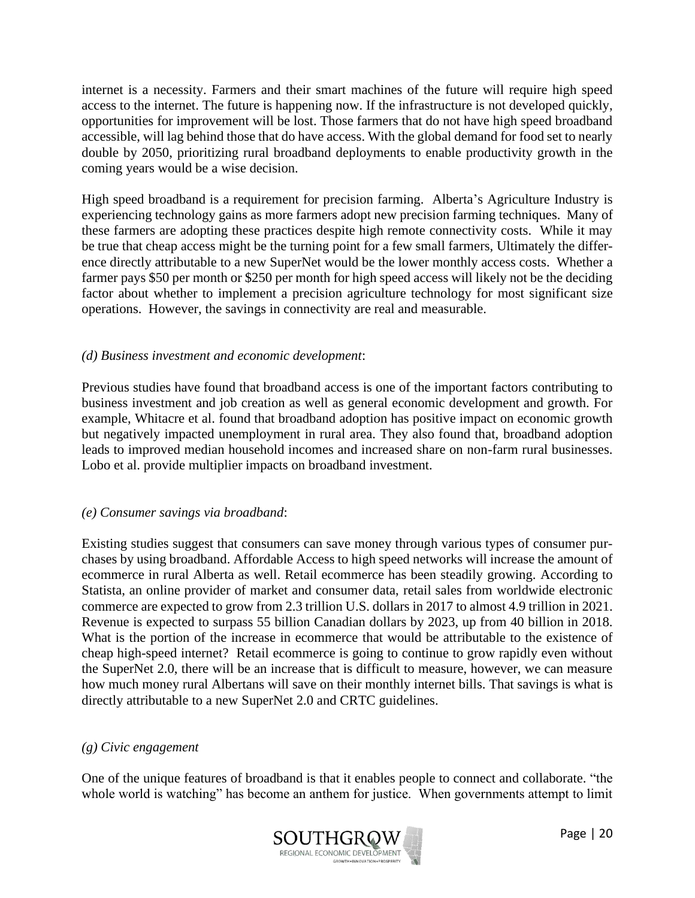internet is a necessity. Farmers and their smart machines of the future will require high speed access to the internet. The future is happening now. If the infrastructure is not developed quickly, opportunities for improvement will be lost. Those farmers that do not have high speed broadband accessible, will lag behind those that do have access. With the global demand for food set to nearly double by 2050, prioritizing rural broadband deployments to enable productivity growth in the coming years would be a wise decision.

High speed broadband is a requirement for precision farming. Alberta's Agriculture Industry is experiencing technology gains as more farmers adopt new precision farming techniques. Many of these farmers are adopting these practices despite high remote connectivity costs. While it may be true that cheap access might be the turning point for a few small farmers, Ultimately the difference directly attributable to a new SuperNet would be the lower monthly access costs. Whether a farmer pays \$50 per month or \$250 per month for high speed access will likely not be the deciding factor about whether to implement a precision agriculture technology for most significant size operations. However, the savings in connectivity are real and measurable.

#### *(d) Business investment and economic development*:

Previous studies have found that broadband access is one of the important factors contributing to business investment and job creation as well as general economic development and growth. For example, Whitacre et al. found that broadband adoption has positive impact on economic growth but negatively impacted unemployment in rural area. They also found that, broadband adoption leads to improved median household incomes and increased share on non-farm rural businesses. Lobo et al. provide multiplier impacts on broadband investment.

#### *(e) Consumer savings via broadband*:

Existing studies suggest that consumers can save money through various types of consumer purchases by using broadband. Affordable Access to high speed networks will increase the amount of ecommerce in rural Alberta as well. Retail ecommerce has been steadily growing. According to Statista, an online provider of market and consumer data, retail sales from [worldwide electronic](https://www.statista.com/statistics/379046/worldwide-retail-e-commerce-sales/)  [commerce](https://www.statista.com/statistics/379046/worldwide-retail-e-commerce-sales/) are expected to grow from 2.3 trillion U.S. dollars in 2017 to almost 4.9 trillion in 2021. Revenue is expected to surpass 55 billion Canadian dollars by 2023, up from 40 billion in 2018. What is the portion of the increase in ecommerce that would be attributable to the existence of cheap high-speed internet? Retail ecommerce is going to continue to grow rapidly even without the SuperNet 2.0, there will be an increase that is difficult to measure, however, we can measure how much money rural Albertans will save on their monthly internet bills. That savings is what is directly attributable to a new SuperNet 2.0 and CRTC guidelines.

#### *(g) Civic engagement*

One of the unique features of broadband is that it enables people to connect and collaborate. "the whole world is watching" has become an anthem for justice. When governments attempt to limit

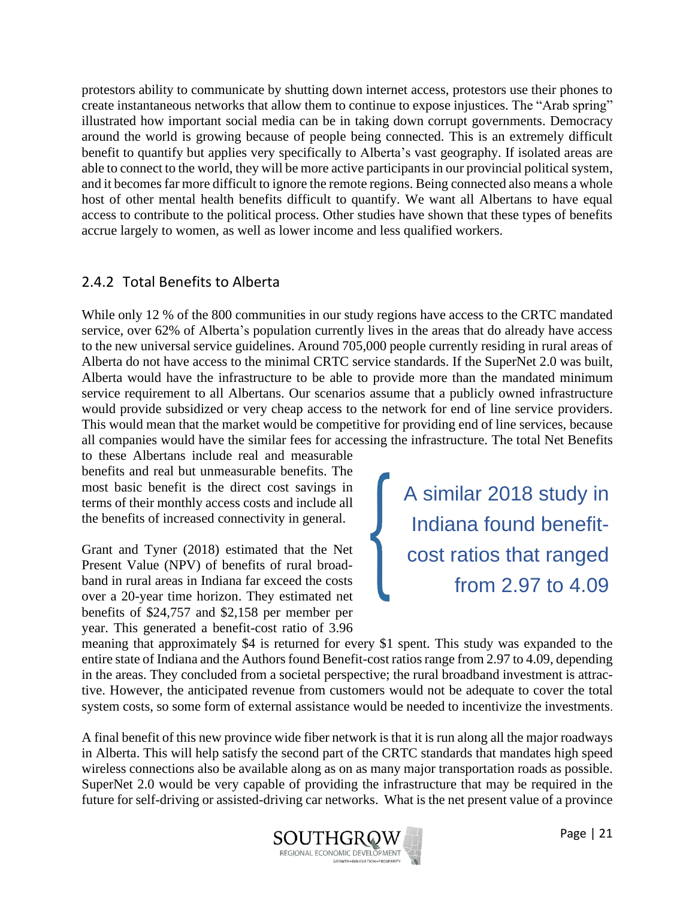protestors ability to communicate by shutting down internet access, protestors use their phones to create instantaneous networks that allow them to continue to expose injustices. The "Arab spring" illustrated how important social media can be in taking down corrupt governments. Democracy around the world is growing because of people being connected. This is an extremely difficult benefit to quantify but applies very specifically to Alberta's vast geography. If isolated areas are able to connect to the world, they will be more active participants in our provincial political system, and it becomes far more difficult to ignore the remote regions. Being connected also means a whole host of other mental health benefits difficult to quantify. We want all Albertans to have equal access to contribute to the political process. Other studies have shown that these types of benefits accrue largely to women, as well as lower income and less qualified workers.

#### <span id="page-21-0"></span>2.4.2 Total Benefits to Alberta

While only 12 % of the 800 communities in our study regions have access to the CRTC mandated service, over 62% of Alberta's population currently lives in the areas that do already have access to the new universal service guidelines. Around 705,000 people currently residing in rural areas of Alberta do not have access to the minimal CRTC service standards. If the SuperNet 2.0 was built, Alberta would have the infrastructure to be able to provide more than the mandated minimum service requirement to all Albertans. Our scenarios assume that a publicly owned infrastructure would provide subsidized or very cheap access to the network for end of line service providers. This would mean that the market would be competitive for providing end of line services, because all companies would have the similar fees for accessing the infrastructure. The total Net Benefits

to these Albertans include real and measurable benefits and real but unmeasurable benefits. The most basic benefit is the direct cost savings in terms of their monthly access costs and include all the benefits of increased connectivity in general.

Grant and Tyner (2018) estimated that the Net Present Value (NPV) of benefits of rural broadband in rural areas in Indiana far exceed the costs over a 20-year time horizon. They estimated net benefits of \$24,757 and \$2,158 per member per year. This generated a benefit-cost ratio of 3.96 A similar 2018 study in Indiana found benefitcost ratios that ranged from 2.97 to 4.09

meaning that approximately \$4 is returned for every \$1 spent. This study was expanded to the entire state of Indiana and the Authors found Benefit-cost ratios range from 2.97 to 4.09, depending in the areas. They concluded from a societal perspective; the rural broadband investment is attractive. However, the anticipated revenue from customers would not be adequate to cover the total system costs, so some form of external assistance would be needed to incentivize the investments.

A final benefit of this new province wide fiber network is that it is run along all the major roadways in Alberta. This will help satisfy the second part of the CRTC standards that mandates high speed wireless connections also be available along as on as many major transportation roads as possible. SuperNet 2.0 would be very capable of providing the infrastructure that may be required in the future for self-driving or assisted-driving car networks. What is the net present value of a province

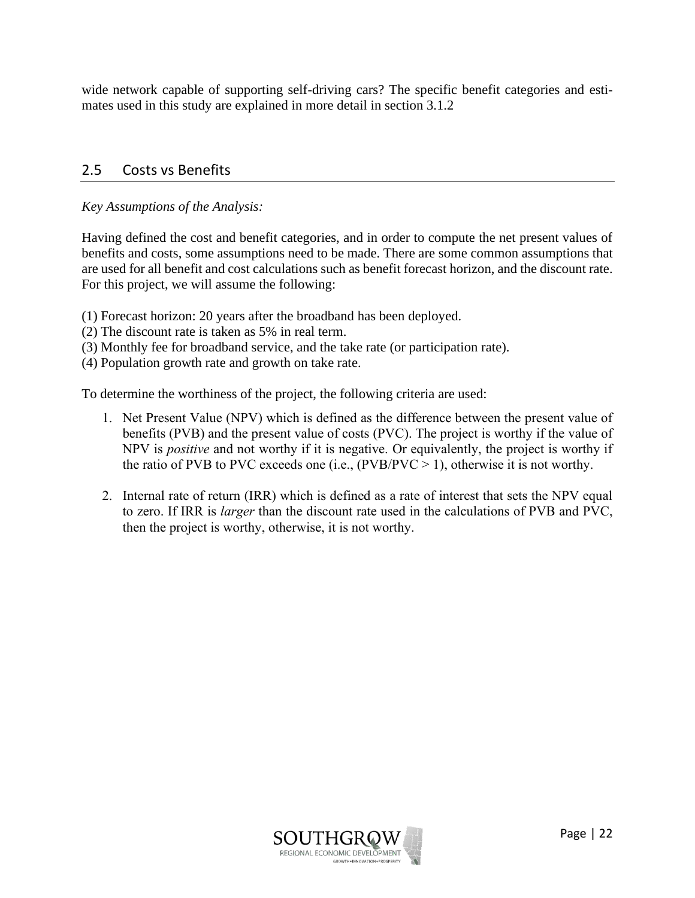wide network capable of supporting self-driving cars? The specific benefit categories and estimates used in this study are explained in more detail in section 3.1.2

#### <span id="page-22-0"></span>2.5 Costs vs Benefits

#### *Key Assumptions of the Analysis:*

Having defined the cost and benefit categories, and in order to compute the net present values of benefits and costs, some assumptions need to be made. There are some common assumptions that are used for all benefit and cost calculations such as benefit forecast horizon, and the discount rate. For this project, we will assume the following:

- (1) Forecast horizon: 20 years after the broadband has been deployed.
- (2) The discount rate is taken as 5% in real term.
- (3) Monthly fee for broadband service, and the take rate (or participation rate).
- (4) Population growth rate and growth on take rate.

To determine the worthiness of the project, the following criteria are used:

- 1. Net Present Value (NPV) which is defined as the difference between the present value of benefits (PVB) and the present value of costs (PVC). The project is worthy if the value of NPV is *positive* and not worthy if it is negative. Or equivalently, the project is worthy if the ratio of PVB to PVC exceeds one (i.e.,  $(PVB/PVC > 1)$ , otherwise it is not worthy.
- 2. Internal rate of return (IRR) which is defined as a rate of interest that sets the NPV equal to zero. If IRR is *larger* than the discount rate used in the calculations of PVB and PVC, then the project is worthy, otherwise, it is not worthy.

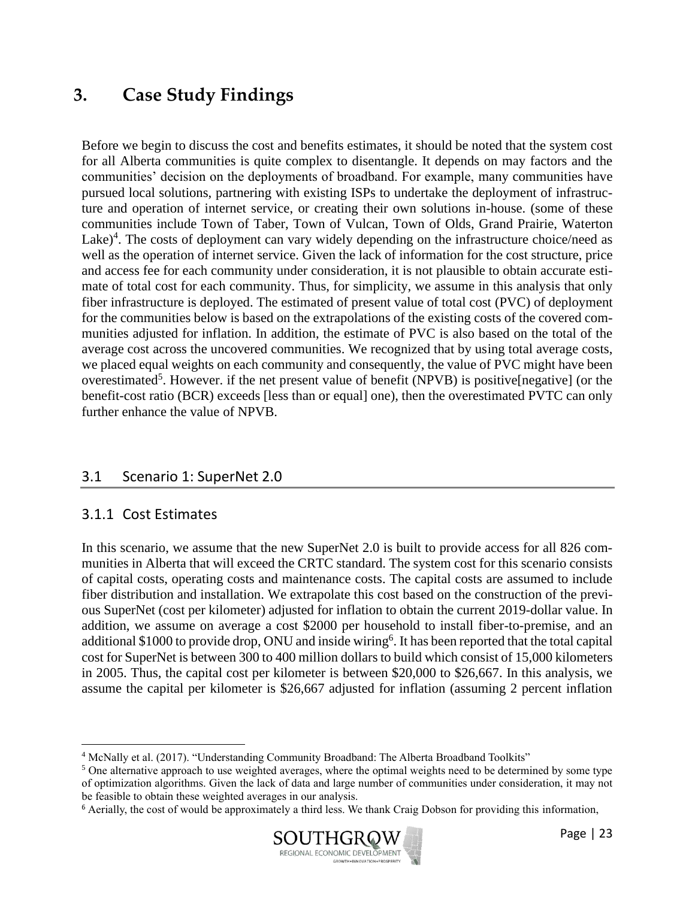## <span id="page-23-0"></span>**3. Case Study Findings**

Before we begin to discuss the cost and benefits estimates, it should be noted that the system cost for all Alberta communities is quite complex to disentangle. It depends on may factors and the communities' decision on the deployments of broadband. For example, many communities have pursued local solutions, partnering with existing ISPs to undertake the deployment of infrastructure and operation of internet service, or creating their own solutions in-house. (some of these communities include Town of Taber, Town of Vulcan, Town of Olds, Grand Prairie, Waterton Lake)<sup>4</sup>. The costs of deployment can vary widely depending on the infrastructure choice/need as well as the operation of internet service. Given the lack of information for the cost structure, price and access fee for each community under consideration, it is not plausible to obtain accurate estimate of total cost for each community. Thus, for simplicity, we assume in this analysis that only fiber infrastructure is deployed. The estimated of present value of total cost (PVC) of deployment for the communities below is based on the extrapolations of the existing costs of the covered communities adjusted for inflation. In addition, the estimate of PVC is also based on the total of the average cost across the uncovered communities. We recognized that by using total average costs, we placed equal weights on each community and consequently, the value of PVC might have been overestimated<sup>5</sup>. However. if the net present value of benefit (NPVB) is positive[negative] (or the benefit-cost ratio (BCR) exceeds [less than or equal] one), then the overestimated PVTC can only further enhance the value of NPVB.

#### <span id="page-23-1"></span>3.1 Scenario 1: SuperNet 2.0

#### <span id="page-23-2"></span>3.1.1 Cost Estimates

In this scenario, we assume that the new SuperNet 2.0 is built to provide access for all 826 communities in Alberta that will exceed the CRTC standard. The system cost for this scenario consists of capital costs, operating costs and maintenance costs. The capital costs are assumed to include fiber distribution and installation. We extrapolate this cost based on the construction of the previous SuperNet (cost per kilometer) adjusted for inflation to obtain the current 2019-dollar value. In addition, we assume on average a cost \$2000 per household to install fiber-to-premise, and an additional \$1000 to provide drop, ONU and inside wiring<sup>6</sup>. It has been reported that the total capital cost for SuperNet is between 300 to 400 million dollars to build which consist of 15,000 kilometers in 2005. Thus, the capital cost per kilometer is between \$20,000 to \$26,667. In this analysis, we assume the capital per kilometer is \$26,667 adjusted for inflation (assuming 2 percent inflation

<sup>6</sup> Aerially, the cost of would be approximately a third less. We thank Craig Dobson for providing this information,



<sup>4</sup> McNally et al. (2017). "Understanding Community Broadband: The Alberta Broadband Toolkits"

<sup>&</sup>lt;sup>5</sup> One alternative approach to use weighted averages, where the optimal weights need to be determined by some type of optimization algorithms. Given the lack of data and large number of communities under consideration, it may not be feasible to obtain these weighted averages in our analysis.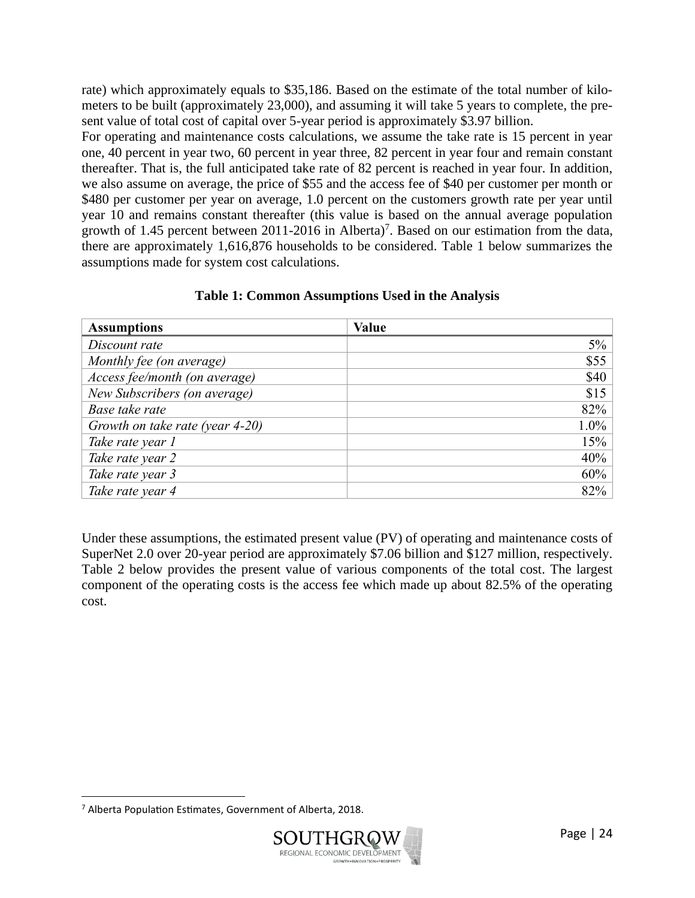rate) which approximately equals to \$35,186. Based on the estimate of the total number of kilometers to be built (approximately 23,000), and assuming it will take 5 years to complete, the present value of total cost of capital over 5-year period is approximately \$3.97 billion.

For operating and maintenance costs calculations, we assume the take rate is 15 percent in year one, 40 percent in year two, 60 percent in year three, 82 percent in year four and remain constant thereafter. That is, the full anticipated take rate of 82 percent is reached in year four. In addition, we also assume on average, the price of \$55 and the access fee of \$40 per customer per month or \$480 per customer per year on average, 1.0 percent on the customers growth rate per year until year 10 and remains constant thereafter (this value is based on the annual average population growth of 1.45 percent between 2011-2016 in Alberta)<sup>7</sup>. Based on our estimation from the data, there are approximately 1,616,876 households to be considered. Table 1 below summarizes the assumptions made for system cost calculations.

| <b>Assumptions</b>              | <b>Value</b> |
|---------------------------------|--------------|
| Discount rate                   | $5\%$        |
| Monthly fee (on average)        | \$55         |
| Access fee/month (on average)   | \$40         |
| New Subscribers (on average)    | \$15         |
| Base take rate                  | 82%          |
| Growth on take rate (year 4-20) | 1.0%         |
| Take rate year 1                | 15%          |
| Take rate year 2                | 40%          |
| Take rate year 3                | 60%          |
| Take rate year 4                | 82%          |

#### **Table 1: Common Assumptions Used in the Analysis**

Under these assumptions, the estimated present value (PV) of operating and maintenance costs of SuperNet 2.0 over 20-year period are approximately \$7.06 billion and \$127 million, respectively. Table 2 below provides the present value of various components of the total cost. The largest component of the operating costs is the access fee which made up about 82.5% of the operating cost.

<sup>7</sup> Alberta Population Estimates, Government of Alberta, 2018.

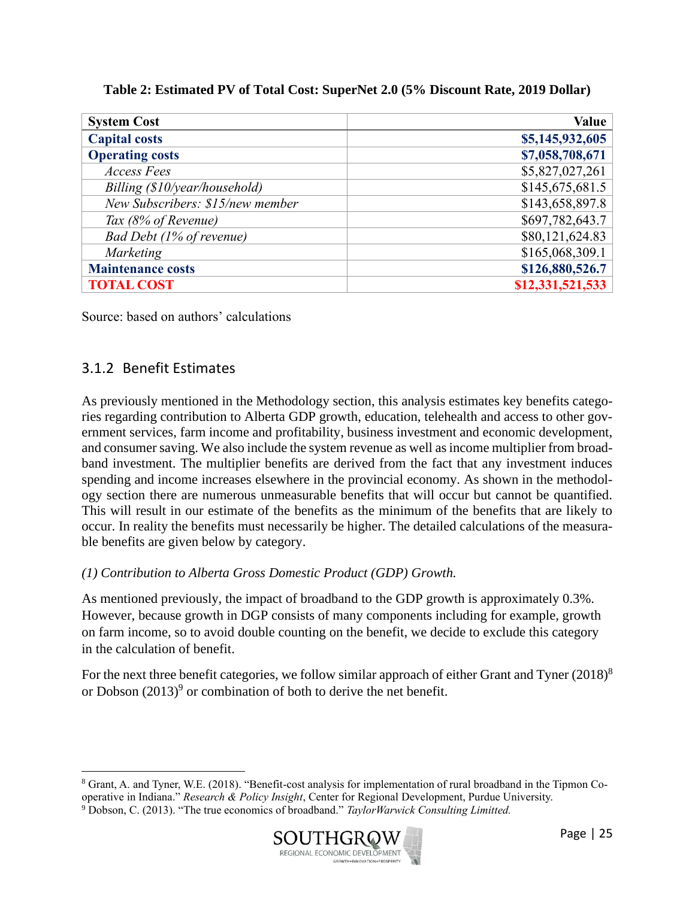| Table 2: Estimated PV of Total Cost: SuperNet 2.0 (5% Discount Rate, 2019 Dollar) |  |  |
|-----------------------------------------------------------------------------------|--|--|
|-----------------------------------------------------------------------------------|--|--|

| <b>System Cost</b>               | Value            |
|----------------------------------|------------------|
| <b>Capital costs</b>             | \$5,145,932,605  |
| <b>Operating costs</b>           | \$7,058,708,671  |
| <b>Access Fees</b>               | \$5,827,027,261  |
| Billing (\$10/year/household)    | \$145,675,681.5  |
| New Subscribers: \$15/new member | \$143,658,897.8  |
| Tax (8% of Revenue)              | \$697,782,643.7  |
| Bad Debt (1% of revenue)         | \$80,121,624.83  |
| <b>Marketing</b>                 | \$165,068,309.1  |
| <b>Maintenance costs</b>         | \$126,880,526.7  |
| <b>TOTAL COST</b>                | \$12,331,521,533 |

Source: based on authors' calculations

#### <span id="page-25-0"></span>3.1.2 Benefit Estimates

As previously mentioned in the Methodology section, this analysis estimates key benefits categories regarding contribution to Alberta GDP growth, education, telehealth and access to other government services, farm income and profitability, business investment and economic development, and consumer saving. We also include the system revenue as well as income multiplier from broadband investment. The multiplier benefits are derived from the fact that any investment induces spending and income increases elsewhere in the provincial economy. As shown in the methodology section there are numerous unmeasurable benefits that will occur but cannot be quantified. This will result in our estimate of the benefits as the minimum of the benefits that are likely to occur. In reality the benefits must necessarily be higher. The detailed calculations of the measurable benefits are given below by category.

#### *(1) Contribution to Alberta Gross Domestic Product (GDP) Growth.*

As mentioned previously, the impact of broadband to the GDP growth is approximately 0.3%. However, because growth in DGP consists of many components including for example, growth on farm income, so to avoid double counting on the benefit, we decide to exclude this category in the calculation of benefit.

For the next three benefit categories, we follow similar approach of either Grant and Tyner  $(2018)^8$ or Dobson  $(2013)^9$  or combination of both to derive the net benefit.

<sup>9</sup> Dobson, C. (2013). "The true economics of broadband." *TaylorWarwick Consulting Limitted.*



<sup>8</sup> Grant, A. and Tyner, W.E. (2018). "Benefit-cost analysis for implementation of rural broadband in the Tipmon Cooperative in Indiana." *Research & Policy Insight*, Center for Regional Development, Purdue University.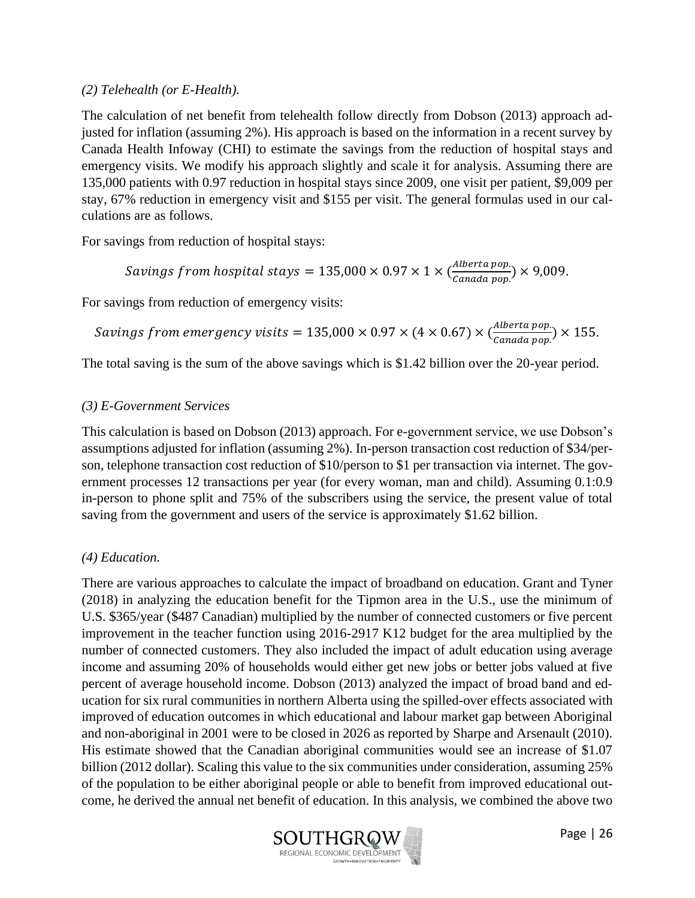#### *(2) Telehealth (or E-Health).*

The calculation of net benefit from telehealth follow directly from Dobson (2013) approach adjusted for inflation (assuming 2%). His approach is based on the information in a recent survey by Canada Health Infoway (CHI) to estimate the savings from the reduction of hospital stays and emergency visits. We modify his approach slightly and scale it for analysis. Assuming there are 135,000 patients with 0.97 reduction in hospital stays since 2009, one visit per patient, \$9,009 per stay, 67% reduction in emergency visit and \$155 per visit. The general formulas used in our calculations are as follows.

For savings from reduction of hospital stays:

*Savings from hospital stays* = 135,000 × 0.97 × 1 × 
$$
\left(\frac{Alberta pop}{Canada pop}\right)
$$
 × 9,009.

For savings from reduction of emergency visits:

*Savings from emergency visits* = 
$$
135,000 \times 0.97 \times (4 \times 0.67) \times (\frac{\text{Alberta pop.}}{\text{Canada pop.}}) \times 155.
$$

The total saving is the sum of the above savings which is \$1.42 billion over the 20-year period.

#### *(3) E-Government Services*

This calculation is based on Dobson (2013) approach. For e-government service, we use Dobson's assumptions adjusted for inflation (assuming 2%). In-person transaction cost reduction of \$34/person, telephone transaction cost reduction of \$10/person to \$1 per transaction via internet. The government processes 12 transactions per year (for every woman, man and child). Assuming 0.1:0.9 in-person to phone split and 75% of the subscribers using the service, the present value of total saving from the government and users of the service is approximately \$1.62 billion.

#### *(4) Education.*

There are various approaches to calculate the impact of broadband on education. Grant and Tyner (2018) in analyzing the education benefit for the Tipmon area in the U.S., use the minimum of U.S. \$365/year (\$487 Canadian) multiplied by the number of connected customers or five percent improvement in the teacher function using 2016-2917 K12 budget for the area multiplied by the number of connected customers. They also included the impact of adult education using average income and assuming 20% of households would either get new jobs or better jobs valued at five percent of average household income. Dobson (2013) analyzed the impact of broad band and education for six rural communities in northern Alberta using the spilled-over effects associated with improved of education outcomes in which educational and labour market gap between Aboriginal and non-aboriginal in 2001 were to be closed in 2026 as reported by Sharpe and Arsenault (2010). His estimate showed that the Canadian aboriginal communities would see an increase of \$1.07 billion (2012 dollar). Scaling this value to the six communities under consideration, assuming 25% of the population to be either aboriginal people or able to benefit from improved educational outcome, he derived the annual net benefit of education. In this analysis, we combined the above two

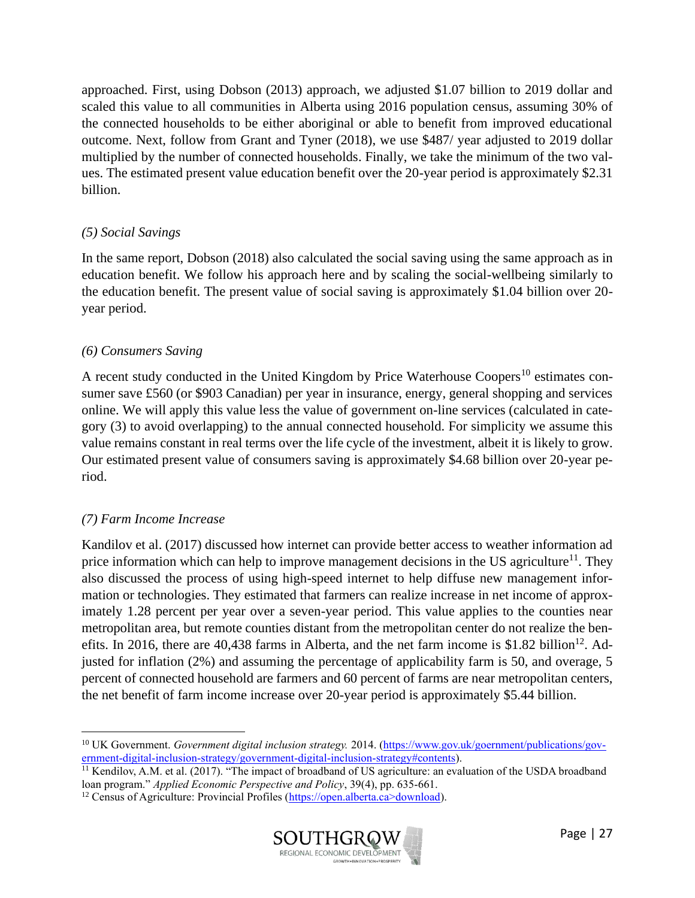approached. First, using Dobson (2013) approach, we adjusted \$1.07 billion to 2019 dollar and scaled this value to all communities in Alberta using 2016 population census, assuming 30% of the connected households to be either aboriginal or able to benefit from improved educational outcome. Next, follow from Grant and Tyner (2018), we use \$487/ year adjusted to 2019 dollar multiplied by the number of connected households. Finally, we take the minimum of the two values. The estimated present value education benefit over the 20-year period is approximately \$2.31 billion.

#### *(5) Social Savings*

In the same report, Dobson (2018) also calculated the social saving using the same approach as in education benefit. We follow his approach here and by scaling the social-wellbeing similarly to the education benefit. The present value of social saving is approximately \$1.04 billion over 20 year period.

#### *(6) Consumers Saving*

A recent study conducted in the United Kingdom by Price Waterhouse Coopers<sup>10</sup> estimates consumer save £560 (or \$903 Canadian) per year in insurance, energy, general shopping and services online. We will apply this value less the value of government on-line services (calculated in category (3) to avoid overlapping) to the annual connected household. For simplicity we assume this value remains constant in real terms over the life cycle of the investment, albeit it is likely to grow. Our estimated present value of consumers saving is approximately \$4.68 billion over 20-year period.

#### *(7) Farm Income Increase*

Kandilov et al. (2017) discussed how internet can provide better access to weather information ad price information which can help to improve management decisions in the US agriculture<sup>11</sup>. They also discussed the process of using high-speed internet to help diffuse new management information or technologies. They estimated that farmers can realize increase in net income of approximately 1.28 percent per year over a seven-year period. This value applies to the counties near metropolitan area, but remote counties distant from the metropolitan center do not realize the benefits. In 2016, there are 40,438 farms in Alberta, and the net farm income is \$1.82 billion<sup>12</sup>. Adjusted for inflation (2%) and assuming the percentage of applicability farm is 50, and overage, 5 percent of connected household are farmers and 60 percent of farms are near metropolitan centers, the net benefit of farm income increase over 20-year period is approximately \$5.44 billion.

<sup>&</sup>lt;sup>12</sup> Census of Agriculture: Provincial Profiles (https://open.alberta.ca>download).



<sup>10</sup> UK Government. *Government digital inclusion strategy.* 2014. [\(https://www.gov.uk/goernment/publications/gov](https://www.gov.uk/goernment/publications/government-digital-inclusion-strategy/government-digital-inclusion-strategy#contents)[ernment-digital-inclusion-strategy/government-digital-inclusion-strategy#contents\)](https://www.gov.uk/goernment/publications/government-digital-inclusion-strategy/government-digital-inclusion-strategy#contents).

<sup>&</sup>lt;sup>11</sup> Kendilov, A.M. et al. (2017). "The impact of broadband of US agriculture: an evaluation of the USDA broadband loan program." *Applied Economic Perspective and Policy*, 39(4), pp. 635-661.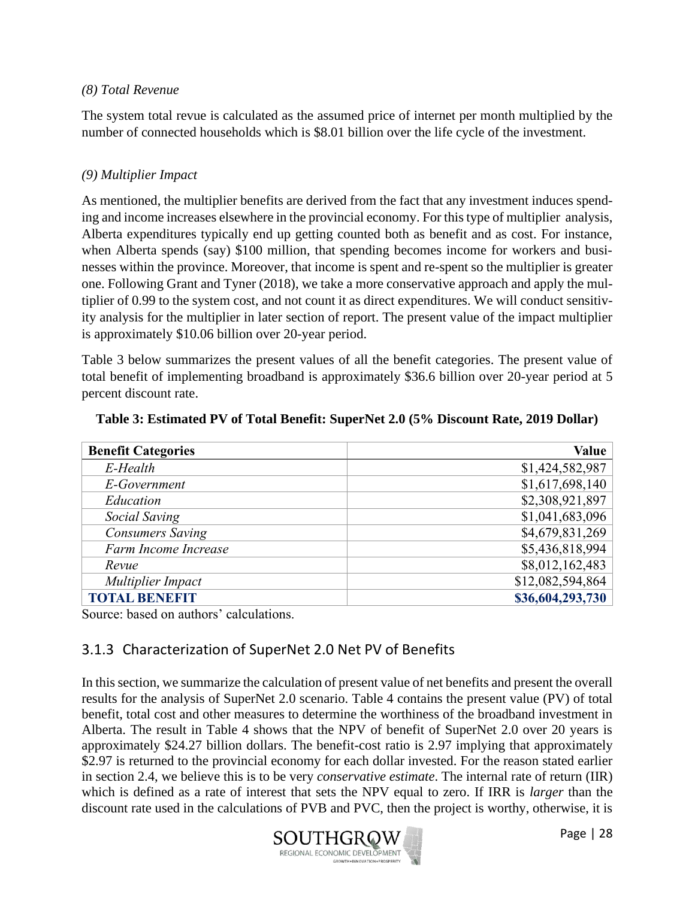#### *(8) Total Revenue*

The system total revue is calculated as the assumed price of internet per month multiplied by the number of connected households which is \$8.01 billion over the life cycle of the investment.

#### *(9) Multiplier Impact*

As mentioned, the multiplier benefits are derived from the fact that any investment induces spending and income increases elsewhere in the provincial economy. For this type of multiplier analysis, Alberta expenditures typically end up getting counted both as benefit and as cost. For instance, when Alberta spends (say) \$100 million, that spending becomes income for workers and businesses within the province. Moreover, that income is spent and re-spent so the multiplier is greater one. Following Grant and Tyner (2018), we take a more conservative approach and apply the multiplier of 0.99 to the system cost, and not count it as direct expenditures. We will conduct sensitivity analysis for the multiplier in later section of report. The present value of the impact multiplier is approximately \$10.06 billion over 20-year period.

Table 3 below summarizes the present values of all the benefit categories. The present value of total benefit of implementing broadband is approximately \$36.6 billion over 20-year period at 5 percent discount rate.

| <b>Benefit Categories</b> | <b>Value</b>     |
|---------------------------|------------------|
| E-Health                  | \$1,424,582,987  |
| E-Government              | \$1,617,698,140  |
| Education                 | \$2,308,921,897  |
| Social Saving             | \$1,041,683,096  |
| <b>Consumers Saving</b>   | \$4,679,831,269  |
| Farm Income Increase      | \$5,436,818,994  |
| Revue                     | \$8,012,162,483  |
| Multiplier Impact         | \$12,082,594,864 |
| <b>TOTAL BENEFIT</b>      | \$36,604,293,730 |

**Table 3: Estimated PV of Total Benefit: SuperNet 2.0 (5% Discount Rate, 2019 Dollar)**

Source: based on authors' calculations.

#### <span id="page-28-0"></span>3.1.3 Characterization of SuperNet 2.0 Net PV of Benefits

In this section, we summarize the calculation of present value of net benefits and present the overall results for the analysis of SuperNet 2.0 scenario. Table 4 contains the present value (PV) of total benefit, total cost and other measures to determine the worthiness of the broadband investment in Alberta. The result in Table 4 shows that the NPV of benefit of SuperNet 2.0 over 20 years is approximately \$24.27 billion dollars. The benefit-cost ratio is 2.97 implying that approximately \$2.97 is returned to the provincial economy for each dollar invested. For the reason stated earlier in section 2.4, we believe this is to be very *conservative estimate*. The internal rate of return (IIR) which is defined as a rate of interest that sets the NPV equal to zero. If IRR is *larger* than the discount rate used in the calculations of PVB and PVC, then the project is worthy, otherwise, it is

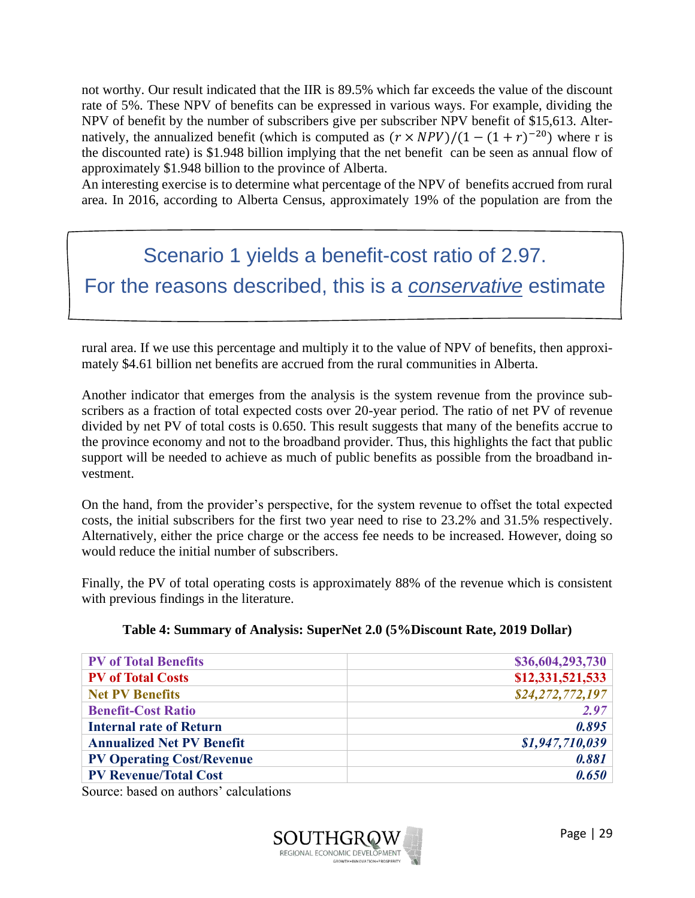not worthy. Our result indicated that the IIR is 89.5% which far exceeds the value of the discount rate of 5%. These NPV of benefits can be expressed in various ways. For example, dividing the NPV of benefit by the number of subscribers give per subscriber NPV benefit of \$15,613. Alternatively, the annualized benefit (which is computed as  $(r \times NPV)/(1 - (1 + r)^{-20})$  where r is the discounted rate) is \$1.948 billion implying that the net benefit can be seen as annual flow of approximately \$1.948 billion to the province of Alberta.

An interesting exercise is to determine what percentage of the NPV of benefits accrued from rural area. In 2016, according to Alberta Census, approximately 19% of the population are from the

## Scenario 1 yields a benefit-cost ratio of 2.97. For the reasons described, this is a *conservative* estimate

rural area. If we use this percentage and multiply it to the value of NPV of benefits, then approximately \$4.61 billion net benefits are accrued from the rural communities in Alberta.

Another indicator that emerges from the analysis is the system revenue from the province subscribers as a fraction of total expected costs over 20-year period. The ratio of net PV of revenue divided by net PV of total costs is 0.650. This result suggests that many of the benefits accrue to the province economy and not to the broadband provider. Thus, this highlights the fact that public support will be needed to achieve as much of public benefits as possible from the broadband investment.

On the hand, from the provider's perspective, for the system revenue to offset the total expected costs, the initial subscribers for the first two year need to rise to 23.2% and 31.5% respectively. Alternatively, either the price charge or the access fee needs to be increased. However, doing so would reduce the initial number of subscribers.

Finally, the PV of total operating costs is approximately 88% of the revenue which is consistent with previous findings in the literature.

| <b>PV</b> of Total Benefits      | \$36,604,293,730 |
|----------------------------------|------------------|
| <b>PV</b> of Total Costs         | \$12,331,521,533 |
| <b>Net PV Benefits</b>           | \$24,272,772,197 |
| <b>Benefit-Cost Ratio</b>        | 2.97             |
| <b>Internal rate of Return</b>   | 0.895            |
| <b>Annualized Net PV Benefit</b> | \$1,947,710,039  |
| <b>PV Operating Cost/Revenue</b> | 0.881            |
| <b>PV Revenue/Total Cost</b>     | 0.650            |

#### **Table 4: Summary of Analysis: SuperNet 2.0 (5%Discount Rate, 2019 Dollar)**

Source: based on authors' calculations

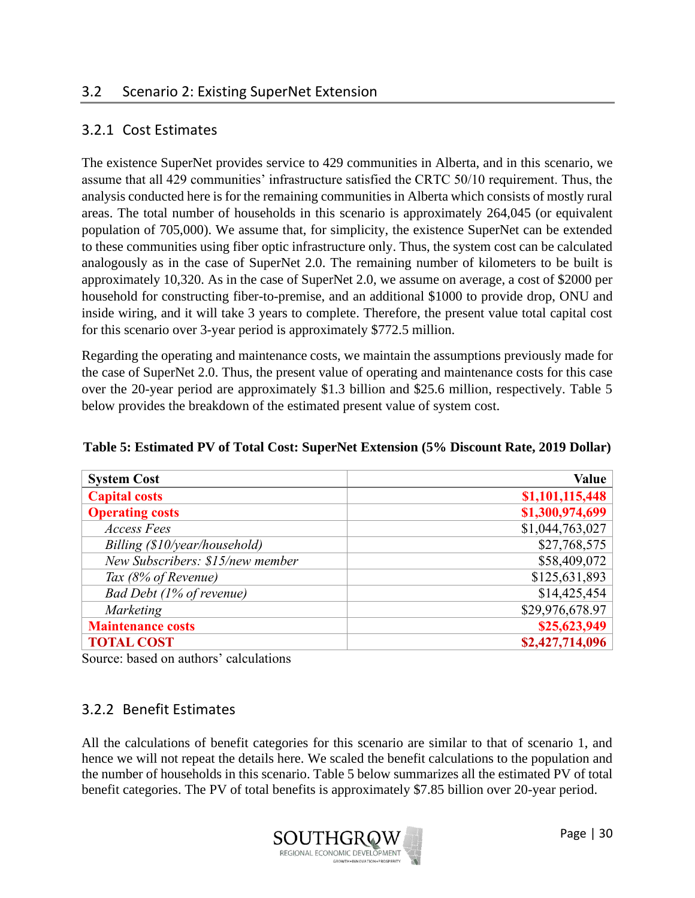#### <span id="page-30-1"></span><span id="page-30-0"></span>3.2.1 Cost Estimates

The existence SuperNet provides service to 429 communities in Alberta, and in this scenario, we assume that all 429 communities' infrastructure satisfied the CRTC 50/10 requirement. Thus, the analysis conducted here is for the remaining communities in Alberta which consists of mostly rural areas. The total number of households in this scenario is approximately 264,045 (or equivalent population of 705,000). We assume that, for simplicity, the existence SuperNet can be extended to these communities using fiber optic infrastructure only. Thus, the system cost can be calculated analogously as in the case of SuperNet 2.0. The remaining number of kilometers to be built is approximately 10,320. As in the case of SuperNet 2.0, we assume on average, a cost of \$2000 per household for constructing fiber-to-premise, and an additional \$1000 to provide drop, ONU and inside wiring, and it will take 3 years to complete. Therefore, the present value total capital cost for this scenario over 3-year period is approximately \$772.5 million.

Regarding the operating and maintenance costs, we maintain the assumptions previously made for the case of SuperNet 2.0. Thus, the present value of operating and maintenance costs for this case over the 20-year period are approximately \$1.3 billion and \$25.6 million, respectively. Table 5 below provides the breakdown of the estimated present value of system cost.

| <b>System Cost</b>               | <b>Value</b>    |
|----------------------------------|-----------------|
| <b>Capital costs</b>             | \$1,101,115,448 |
| <b>Operating costs</b>           | \$1,300,974,699 |
| <b>Access Fees</b>               | \$1,044,763,027 |
| Billing (\$10/year/household)    | \$27,768,575    |
| New Subscribers: \$15/new member | \$58,409,072    |
| Tax (8% of Revenue)              | \$125,631,893   |
| Bad Debt (1% of revenue)         | \$14,425,454    |
| Marketing                        | \$29,976,678.97 |
| <b>Maintenance costs</b>         | \$25,623,949    |
| <b>TOTAL COST</b>                | \$2,427,714,096 |

#### **Table 5: Estimated PV of Total Cost: SuperNet Extension (5% Discount Rate, 2019 Dollar)**

Source: based on authors' calculations

#### <span id="page-30-2"></span>3.2.2 Benefit Estimates

All the calculations of benefit categories for this scenario are similar to that of scenario 1, and hence we will not repeat the details here. We scaled the benefit calculations to the population and the number of households in this scenario. Table 5 below summarizes all the estimated PV of total benefit categories. The PV of total benefits is approximately \$7.85 billion over 20-year period.

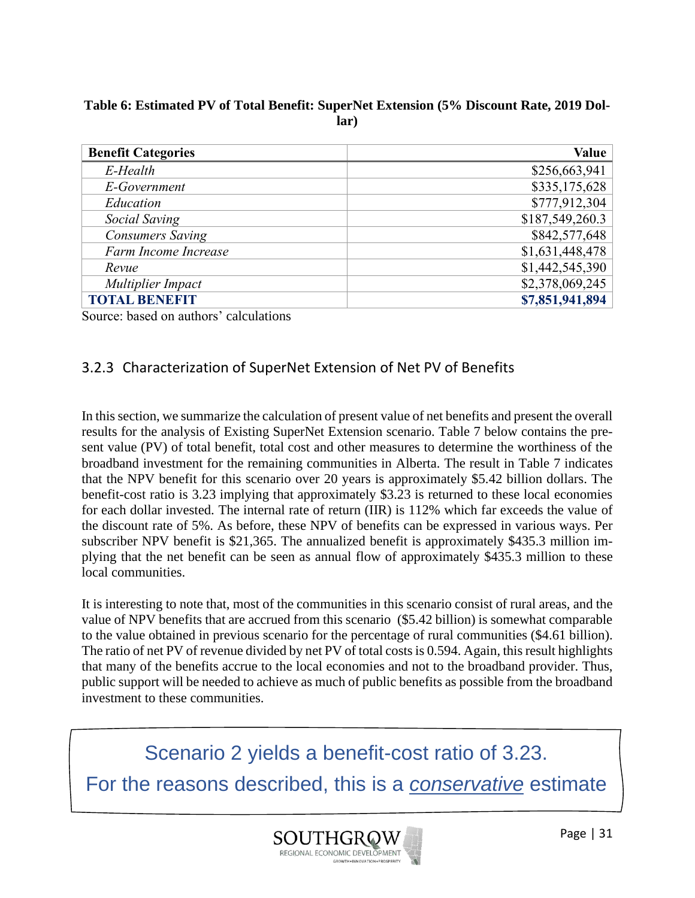#### **Table 6: Estimated PV of Total Benefit: SuperNet Extension (5% Discount Rate, 2019 Dollar)**

| <b>Benefit Categories</b> | <b>Value</b>    |
|---------------------------|-----------------|
| E-Health                  | \$256,663,941   |
| E-Government              | \$335,175,628   |
| Education                 | \$777,912,304   |
| Social Saving             | \$187,549,260.3 |
| <b>Consumers Saving</b>   | \$842,577,648   |
| Farm Income Increase      | \$1,631,448,478 |
| Revue                     | \$1,442,545,390 |
| Multiplier Impact         | \$2,378,069,245 |
| <b>TOTAL BENEFIT</b>      | \$7,851,941,894 |

Source: based on authors' calculations

#### <span id="page-31-0"></span>3.2.3 Characterization of SuperNet Extension of Net PV of Benefits

In this section, we summarize the calculation of present value of net benefits and present the overall results for the analysis of Existing SuperNet Extension scenario. Table 7 below contains the present value (PV) of total benefit, total cost and other measures to determine the worthiness of the broadband investment for the remaining communities in Alberta. The result in Table 7 indicates that the NPV benefit for this scenario over 20 years is approximately \$5.42 billion dollars. The benefit-cost ratio is 3.23 implying that approximately \$3.23 is returned to these local economies for each dollar invested. The internal rate of return (IIR) is 112% which far exceeds the value of the discount rate of 5%. As before, these NPV of benefits can be expressed in various ways. Per subscriber NPV benefit is \$21,365. The annualized benefit is approximately \$435.3 million implying that the net benefit can be seen as annual flow of approximately \$435.3 million to these local communities.

It is interesting to note that, most of the communities in this scenario consist of rural areas, and the value of NPV benefits that are accrued from this scenario (\$5.42 billion) is somewhat comparable to the value obtained in previous scenario for the percentage of rural communities (\$4.61 billion). The ratio of net PV of revenue divided by net PV of total costs is 0.594. Again, this result highlights that many of the benefits accrue to the local economies and not to the broadband provider. Thus, public support will be needed to achieve as much of public benefits as possible from the broadband investment to these communities.

Scenario 2 yields a benefit-cost ratio of 3.23. For the reasons described, this is a *conservative* estimate

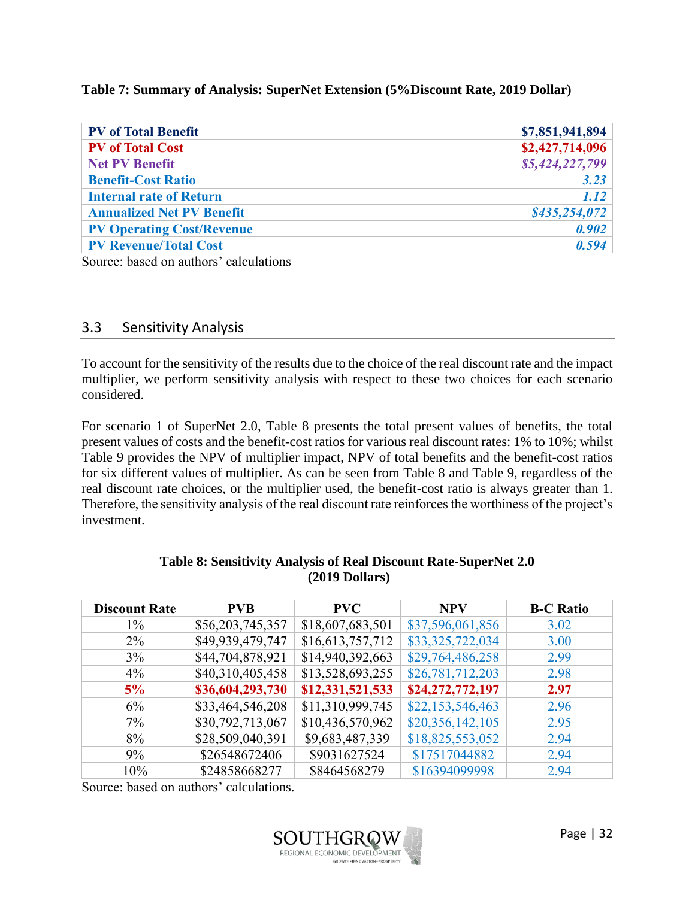#### **Table 7: Summary of Analysis: SuperNet Extension (5%Discount Rate, 2019 Dollar)**

| <b>PV</b> of Total Benefit       | \$7,851,941,894 |
|----------------------------------|-----------------|
| <b>PV</b> of Total Cost          | \$2,427,714,096 |
| <b>Net PV Benefit</b>            | \$5,424,227,799 |
| <b>Benefit-Cost Ratio</b>        | 3.23            |
| <b>Internal rate of Return</b>   | 1.12            |
| <b>Annualized Net PV Benefit</b> | \$435,254,072   |
| <b>PV Operating Cost/Revenue</b> | 0.902           |
| <b>PV Revenue/Total Cost</b>     | 0.594           |

Source: based on authors' calculations

#### <span id="page-32-0"></span>3.3 Sensitivity Analysis

To account for the sensitivity of the results due to the choice of the real discount rate and the impact multiplier, we perform sensitivity analysis with respect to these two choices for each scenario considered.

For scenario 1 of SuperNet 2.0, Table 8 presents the total present values of benefits, the total present values of costs and the benefit-cost ratios for various real discount rates: 1% to 10%; whilst Table 9 provides the NPV of multiplier impact, NPV of total benefits and the benefit-cost ratios for six different values of multiplier. As can be seen from Table 8 and Table 9, regardless of the real discount rate choices, or the multiplier used, the benefit-cost ratio is always greater than 1. Therefore, the sensitivity analysis of the real discount rate reinforces the worthiness of the project's investment.

| <b>Discount Rate</b> | <b>PVB</b>       | <b>PVC</b>       | <b>NPV</b>       | <b>B-C Ratio</b> |
|----------------------|------------------|------------------|------------------|------------------|
| $1\%$                | \$56,203,745,357 | \$18,607,683,501 | \$37,596,061,856 | 3.02             |
| $2\%$                | \$49,939,479,747 | \$16,613,757,712 | \$33,325,722,034 | 3.00             |
| 3%                   | \$44,704,878,921 | \$14,940,392,663 | \$29,764,486,258 | 2.99             |
| $4\%$                | \$40,310,405,458 | \$13,528,693,255 | \$26,781,712,203 | 2.98             |
| 5%                   | \$36,604,293,730 | \$12,331,521,533 | \$24,272,772,197 | 2.97             |
| 6%                   | \$33,464,546,208 | \$11,310,999,745 | \$22,153,546,463 | 2.96             |
| $7\%$                | \$30,792,713,067 | \$10,436,570,962 | \$20,356,142,105 | 2.95             |
| 8%                   | \$28,509,040,391 | \$9,683,487,339  | \$18,825,553,052 | 2.94             |
| 9%                   | \$26548672406    | \$9031627524     | \$17517044882    | 2.94             |
| 10%                  | \$24858668277    | \$8464568279     | \$16394099998    | 2.94             |

#### **Table 8: Sensitivity Analysis of Real Discount Rate-SuperNet 2.0 (2019 Dollars)**

Source: based on authors' calculations.

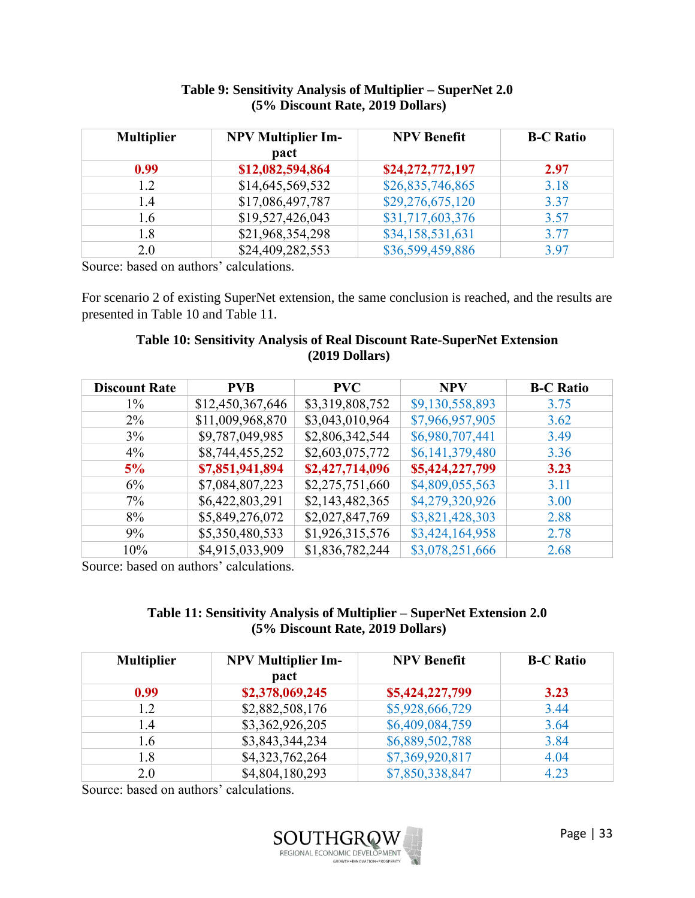| <b>Multiplier</b> | <b>NPV Multiplier Im-</b><br>pact | <b>NPV Benefit</b> | <b>B-C Ratio</b> |
|-------------------|-----------------------------------|--------------------|------------------|
| 0.99              | \$12,082,594,864                  | \$24,272,772,197   | 2.97             |
| 1.2               | \$14,645,569,532                  | \$26,835,746,865   | 3.18             |
| 1.4               | \$17,086,497,787                  | \$29,276,675,120   | 3.37             |
| 1.6               | \$19,527,426,043                  | \$31,717,603,376   | 3.57             |
| 1.8               | \$21,968,354,298                  | \$34,158,531,631   | 3.77             |
| 2.0               | \$24,409,282,553                  | \$36,599,459,886   | 3.97             |

#### **Table 9: Sensitivity Analysis of Multiplier – SuperNet 2.0 (5% Discount Rate, 2019 Dollars)**

Source: based on authors' calculations.

For scenario 2 of existing SuperNet extension, the same conclusion is reached, and the results are presented in Table 10 and Table 11.

#### **Table 10: Sensitivity Analysis of Real Discount Rate-SuperNet Extension (2019 Dollars)**

| <b>Discount Rate</b> | <b>PVB</b>       | <b>PVC</b>      | <b>NPV</b>      | <b>B-C Ratio</b> |
|----------------------|------------------|-----------------|-----------------|------------------|
| $1\%$                | \$12,450,367,646 | \$3,319,808,752 | \$9,130,558,893 | 3.75             |
| $2\%$                | \$11,009,968,870 | \$3,043,010,964 | \$7,966,957,905 | 3.62             |
| 3%                   | \$9,787,049,985  | \$2,806,342,544 | \$6,980,707,441 | 3.49             |
| $4\%$                | \$8,744,455,252  | \$2,603,075,772 | \$6,141,379,480 | 3.36             |
| 5%                   | \$7,851,941,894  | \$2,427,714,096 | \$5,424,227,799 | 3.23             |
| 6%                   | \$7,084,807,223  | \$2,275,751,660 | \$4,809,055,563 | 3.11             |
| $7\%$                | \$6,422,803,291  | \$2,143,482,365 | \$4,279,320,926 | 3.00             |
| 8%                   | \$5,849,276,072  | \$2,027,847,769 | \$3,821,428,303 | 2.88             |
| 9%                   | \$5,350,480,533  | \$1,926,315,576 | \$3,424,164,958 | 2.78             |
| 10%                  | \$4,915,033,909  | \$1,836,782,244 | \$3,078,251,666 | 2.68             |

Source: based on authors' calculations.

#### **Table 11: Sensitivity Analysis of Multiplier – SuperNet Extension 2.0 (5% Discount Rate, 2019 Dollars)**

| <b>Multiplier</b> | <b>NPV Multiplier Im-</b><br>pact | <b>NPV Benefit</b> | <b>B-C Ratio</b> |
|-------------------|-----------------------------------|--------------------|------------------|
| 0.99              | \$2,378,069,245                   | \$5,424,227,799    | 3.23             |
| 1.2               | \$2,882,508,176                   | \$5,928,666,729    | 3.44             |
| 1.4               | \$3,362,926,205                   | \$6,409,084,759    | 3.64             |
| 1.6               | \$3,843,344,234                   | \$6,889,502,788    | 3.84             |
| 1.8               | \$4,323,762,264                   | \$7,369,920,817    | 4.04             |
| 2.0               | \$4,804,180,293                   | \$7,850,338,847    | 4.23             |

Source: based on authors' calculations.

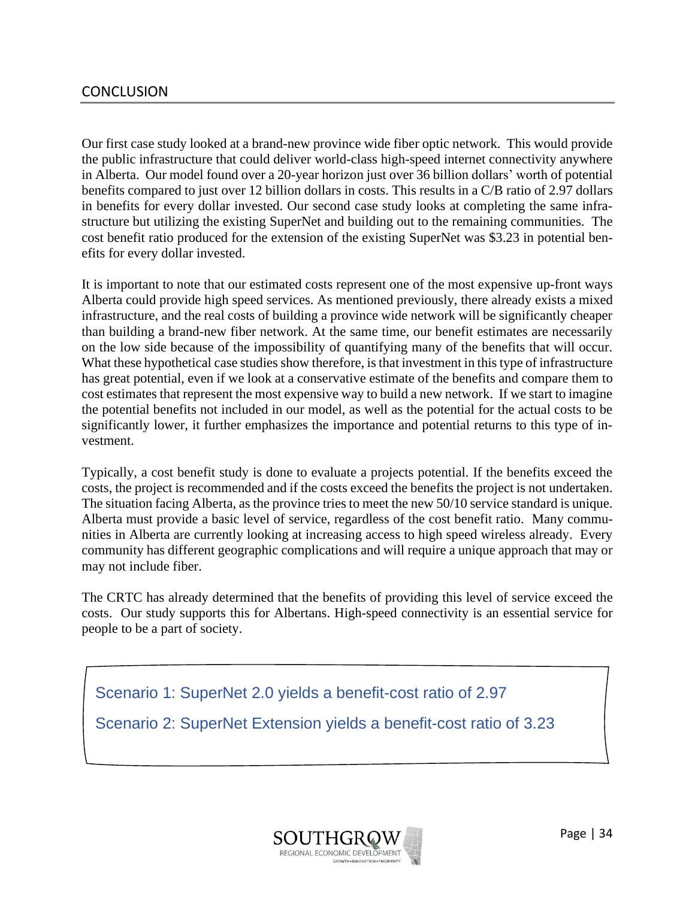#### <span id="page-34-0"></span>**CONCLUSION**

Our first case study looked at a brand-new province wide fiber optic network. This would provide the public infrastructure that could deliver world-class high-speed internet connectivity anywhere in Alberta. Our model found over a 20-year horizon just over 36 billion dollars' worth of potential benefits compared to just over 12 billion dollars in costs. This results in a C/B ratio of 2.97 dollars in benefits for every dollar invested. Our second case study looks at completing the same infrastructure but utilizing the existing SuperNet and building out to the remaining communities. The cost benefit ratio produced for the extension of the existing SuperNet was \$3.23 in potential benefits for every dollar invested.

It is important to note that our estimated costs represent one of the most expensive up-front ways Alberta could provide high speed services. As mentioned previously, there already exists a mixed infrastructure, and the real costs of building a province wide network will be significantly cheaper than building a brand-new fiber network. At the same time, our benefit estimates are necessarily on the low side because of the impossibility of quantifying many of the benefits that will occur. What these hypothetical case studies show therefore, is that investment in this type of infrastructure has great potential, even if we look at a conservative estimate of the benefits and compare them to cost estimates that represent the most expensive way to build a new network. If we start to imagine the potential benefits not included in our model, as well as the potential for the actual costs to be significantly lower, it further emphasizes the importance and potential returns to this type of investment.

Typically, a cost benefit study is done to evaluate a projects potential. If the benefits exceed the costs, the project is recommended and if the costs exceed the benefits the project is not undertaken. The situation facing Alberta, as the province tries to meet the new 50/10 service standard is unique. Alberta must provide a basic level of service, regardless of the cost benefit ratio. Many communities in Alberta are currently looking at increasing access to high speed wireless already. Every community has different geographic complications and will require a unique approach that may or may not include fiber.

The CRTC has already determined that the benefits of providing this level of service exceed the costs. Our study supports this for Albertans. High-speed connectivity is an essential service for people to be a part of society.

Scenario 1: SuperNet 2.0 yields a benefit-cost ratio of 2.97

Scenario 2: SuperNet Extension yields a benefit-cost ratio of 3.23

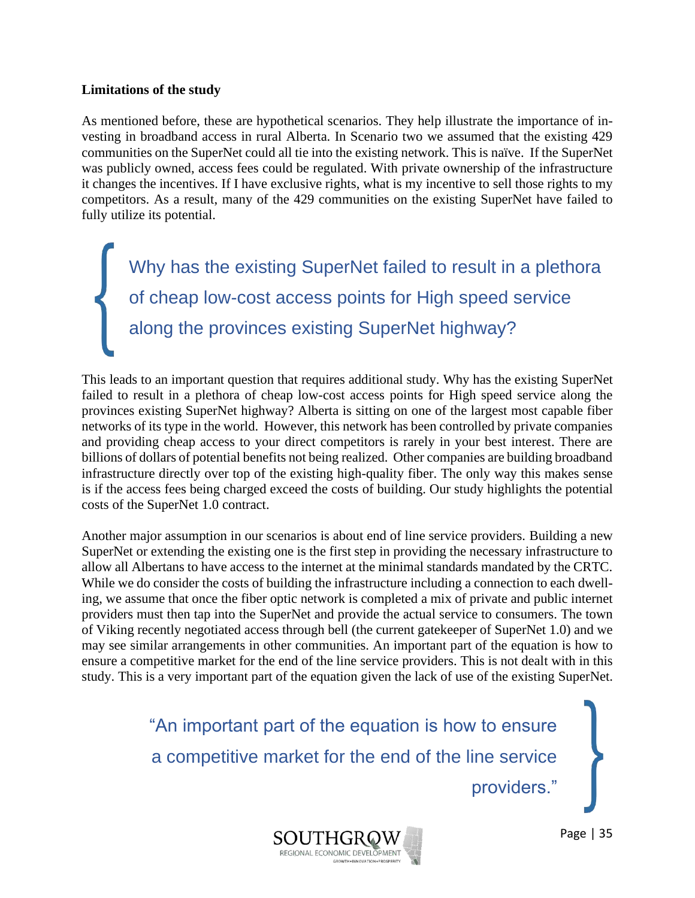#### **Limitations of the study**

As mentioned before, these are hypothetical scenarios. They help illustrate the importance of investing in broadband access in rural Alberta. In Scenario two we assumed that the existing 429 communities on the SuperNet could all tie into the existing network. This is naïve. If the SuperNet was publicly owned, access fees could be regulated. With private ownership of the infrastructure it changes the incentives. If I have exclusive rights, what is my incentive to sell those rights to my competitors. As a result, many of the 429 communities on the existing SuperNet have failed to fully utilize its potential.

Why has the existing SuperNet failed to result in a plethora of cheap low-cost access points for High speed service along the provinces existing SuperNet highway?

This leads to an important question that requires additional study. Why has the existing SuperNet failed to result in a plethora of cheap low-cost access points for High speed service along the provinces existing SuperNet highway? Alberta is sitting on one of the largest most capable fiber networks of its type in the world. However, this network has been controlled by private companies and providing cheap access to your direct competitors is rarely in your best interest. There are billions of dollars of potential benefits not being realized. Other companies are building broadband infrastructure directly over top of the existing high-quality fiber. The only way this makes sense is if the access fees being charged exceed the costs of building. Our study highlights the potential costs of the SuperNet 1.0 contract.

Another major assumption in our scenarios is about end of line service providers. Building a new SuperNet or extending the existing one is the first step in providing the necessary infrastructure to allow all Albertans to have access to the internet at the minimal standards mandated by the CRTC. While we do consider the costs of building the infrastructure including a connection to each dwelling, we assume that once the fiber optic network is completed a mix of private and public internet providers must then tap into the SuperNet and provide the actual service to consumers. The town of Viking recently negotiated access through bell (the current gatekeeper of SuperNet 1.0) and we may see similar arrangements in other communities. An important part of the equation is how to ensure a competitive market for the end of the line service providers. This is not dealt with in this study. This is a very important part of the equation given the lack of use of the existing SuperNet.

> "An important part of the equation is how to ensure a competitive market for the end of the line service

providers."

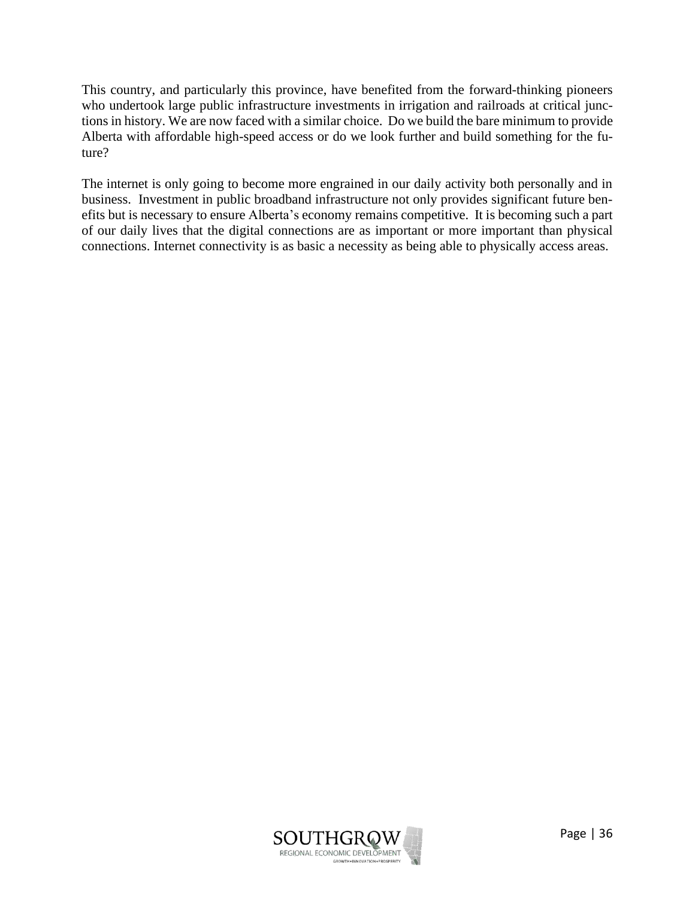This country, and particularly this province, have benefited from the forward-thinking pioneers who undertook large public infrastructure investments in irrigation and railroads at critical junctions in history. We are now faced with a similar choice. Do we build the bare minimum to provide Alberta with affordable high-speed access or do we look further and build something for the future?

The internet is only going to become more engrained in our daily activity both personally and in business. Investment in public broadband infrastructure not only provides significant future benefits but is necessary to ensure Alberta's economy remains competitive. It is becoming such a part of our daily lives that the digital connections are as important or more important than physical connections. Internet connectivity is as basic a necessity as being able to physically access areas.

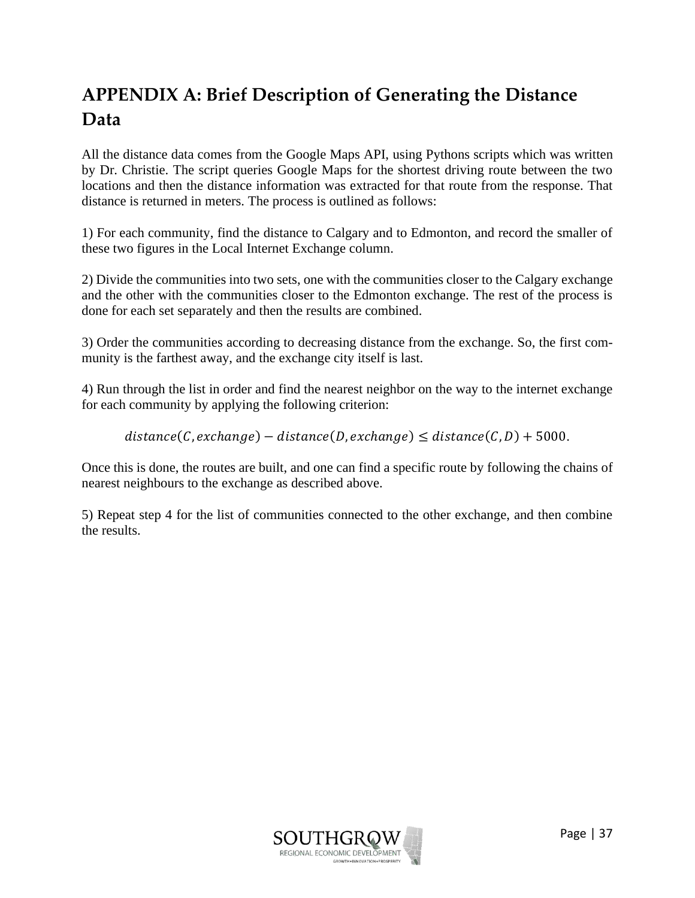## <span id="page-37-0"></span>**APPENDIX A: Brief Description of Generating the Distance Data**

All the distance data comes from the Google Maps API, using Pythons scripts which was written by Dr. Christie. The script queries Google Maps for the shortest driving route between the two locations and then the distance information was extracted for that route from the response. That distance is returned in meters. The process is outlined as follows:

1) For each community, find the distance to Calgary and to Edmonton, and record the smaller of these two figures in the Local Internet Exchange column.

2) Divide the communities into two sets, one with the communities closer to the Calgary exchange and the other with the communities closer to the Edmonton exchange. The rest of the process is done for each set separately and then the results are combined.

3) Order the communities according to decreasing distance from the exchange. So, the first community is the farthest away, and the exchange city itself is last.

4) Run through the list in order and find the nearest neighbor on the way to the internet exchange for each community by applying the following criterion:

 $distance(C, exchange) - distance(D, exchange) \leq distance(C, D) + 5000.$ 

Once this is done, the routes are built, and one can find a specific route by following the chains of nearest neighbours to the exchange as described above.

5) Repeat step 4 for the list of communities connected to the other exchange, and then combine the results.

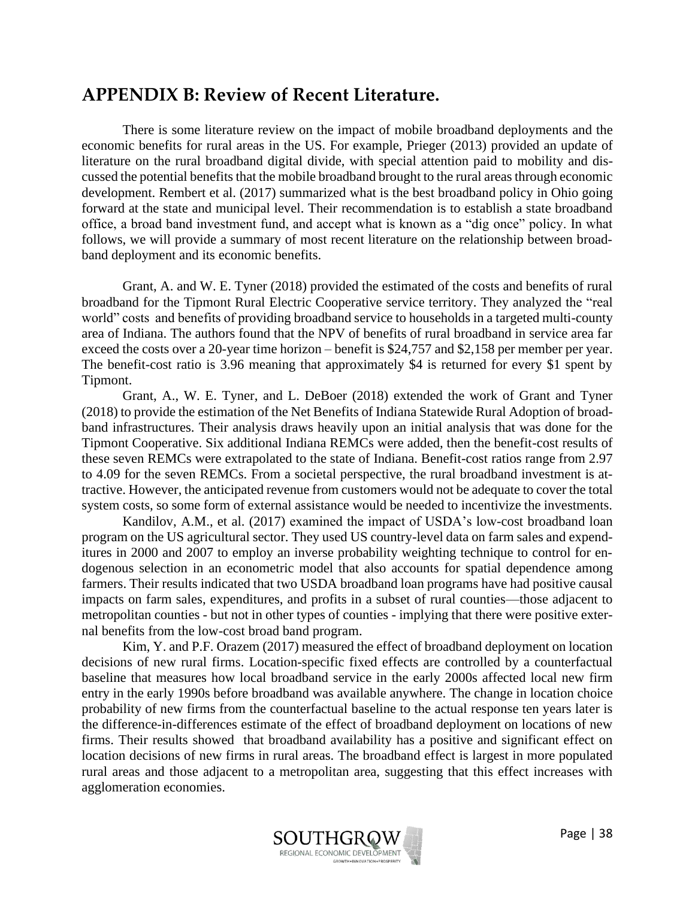### <span id="page-38-0"></span>**APPENDIX B: Review of Recent Literature.**

There is some literature review on the impact of mobile broadband deployments and the economic benefits for rural areas in the US. For example, Prieger (2013) provided an update of literature on the rural broadband digital divide, with special attention paid to mobility and discussed the potential benefits that the mobile broadband brought to the rural areas through economic development. Rembert et al. (2017) summarized what is the best broadband policy in Ohio going forward at the state and municipal level. Their recommendation is to establish a state broadband office, a broad band investment fund, and accept what is known as a "dig once" policy. In what follows, we will provide a summary of most recent literature on the relationship between broadband deployment and its economic benefits.

Grant, A. and W. E. Tyner (2018) provided the estimated of the costs and benefits of rural broadband for the Tipmont Rural Electric Cooperative service territory. They analyzed the "real world" costs and benefits of providing broadband service to households in a targeted multi-county area of Indiana. The authors found that the NPV of benefits of rural broadband in service area far exceed the costs over a 20-year time horizon – benefit is \$24,757 and \$2,158 per member per year. The benefit-cost ratio is 3.96 meaning that approximately \$4 is returned for every \$1 spent by Tipmont.

Grant, A., W. E. Tyner, and L. DeBoer (2018) extended the work of Grant and Tyner (2018) to provide the estimation of the Net Benefits of Indiana Statewide Rural Adoption of broadband infrastructures. Their analysis draws heavily upon an initial analysis that was done for the Tipmont Cooperative. Six additional Indiana REMCs were added, then the benefit-cost results of these seven REMCs were extrapolated to the state of Indiana. Benefit-cost ratios range from 2.97 to 4.09 for the seven REMCs. From a societal perspective, the rural broadband investment is attractive. However, the anticipated revenue from customers would not be adequate to cover the total system costs, so some form of external assistance would be needed to incentivize the investments.

Kandilov, A.M., et al. (2017) examined the impact of USDA's low-cost broadband loan program on the US agricultural sector. They used US country-level data on farm sales and expenditures in 2000 and 2007 to employ an inverse probability weighting technique to control for endogenous selection in an econometric model that also accounts for spatial dependence among farmers. Their results indicated that two USDA broadband loan programs have had positive causal impacts on farm sales, expenditures, and profits in a subset of rural counties—those adjacent to metropolitan counties - but not in other types of counties - implying that there were positive external benefits from the low-cost broad band program.

Kim, Y. and P.F. Orazem (2017) measured the effect of broadband deployment on location decisions of new rural firms. Location-specific fixed effects are controlled by a counterfactual baseline that measures how local broadband service in the early 2000s affected local new firm entry in the early 1990s before broadband was available anywhere. The change in location choice probability of new firms from the counterfactual baseline to the actual response ten years later is the difference-in-differences estimate of the effect of broadband deployment on locations of new firms. Their results showed that broadband availability has a positive and significant effect on location decisions of new firms in rural areas. The broadband effect is largest in more populated rural areas and those adjacent to a metropolitan area, suggesting that this effect increases with agglomeration economies.

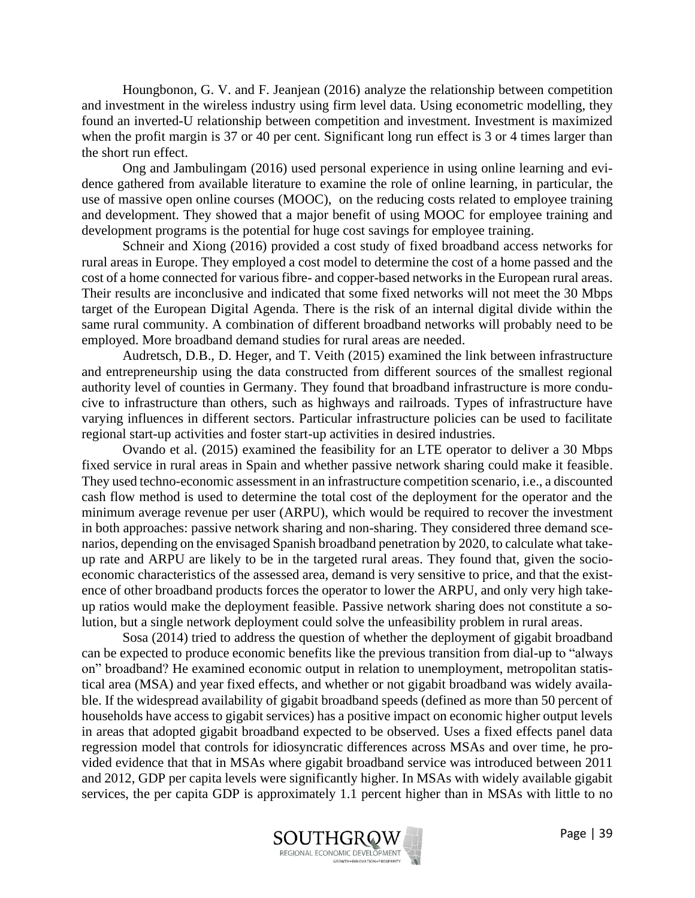Houngbonon, G. V. and F. Jeanjean (2016) analyze the relationship between competition and investment in the wireless industry using firm level data. Using econometric modelling, they found an inverted-U relationship between competition and investment. Investment is maximized when the profit margin is 37 or 40 per cent. Significant long run effect is 3 or 4 times larger than the short run effect.

Ong and Jambulingam (2016) used personal experience in using online learning and evidence gathered from available literature to examine the role of online learning, in particular, the use of massive open online courses (MOOC), on the reducing costs related to employee training and development. They showed that a major benefit of using MOOC for employee training and development programs is the potential for huge cost savings for employee training.

Schneir and Xiong (2016) provided a cost study of fixed broadband access networks for rural areas in Europe. They employed a cost model to determine the cost of a home passed and the cost of a home connected for various fibre- and copper-based networks in the European rural areas. Their results are inconclusive and indicated that some fixed networks will not meet the 30 Mbps target of the European Digital Agenda. There is the risk of an internal digital divide within the same rural community. A combination of different broadband networks will probably need to be employed. More broadband demand studies for rural areas are needed.

Audretsch, D.B., D. Heger, and T. Veith (2015) examined the link between infrastructure and entrepreneurship using the data constructed from different sources of the smallest regional authority level of counties in Germany. They found that broadband infrastructure is more conducive to infrastructure than others, such as highways and railroads. Types of infrastructure have varying influences in different sectors. Particular infrastructure policies can be used to facilitate regional start-up activities and foster start-up activities in desired industries.

Ovando et al. (2015) examined the feasibility for an LTE operator to deliver a 30 Mbps fixed service in rural areas in Spain and whether passive network sharing could make it feasible. They used techno-economic assessment in an infrastructure competition scenario, i.e., a discounted cash flow method is used to determine the total cost of the deployment for the operator and the minimum average revenue per user (ARPU), which would be required to recover the investment in both approaches: passive network sharing and non-sharing. They considered three demand scenarios, depending on the envisaged Spanish broadband penetration by 2020, to calculate what takeup rate and ARPU are likely to be in the targeted rural areas. They found that, given the socioeconomic characteristics of the assessed area, demand is very sensitive to price, and that the existence of other broadband products forces the operator to lower the ARPU, and only very high takeup ratios would make the deployment feasible. Passive network sharing does not constitute a solution, but a single network deployment could solve the unfeasibility problem in rural areas.

Sosa (2014) tried to address the question of whether the deployment of gigabit broadband can be expected to produce economic benefits like the previous transition from dial-up to "always on" broadband? He examined economic output in relation to unemployment, metropolitan statistical area (MSA) and year fixed effects, and whether or not gigabit broadband was widely available. If the widespread availability of gigabit broadband speeds (defined as more than 50 percent of households have access to gigabit services) has a positive impact on economic higher output levels in areas that adopted gigabit broadband expected to be observed. Uses a fixed effects panel data regression model that controls for idiosyncratic differences across MSAs and over time, he provided evidence that that in MSAs where gigabit broadband service was introduced between 2011 and 2012, GDP per capita levels were significantly higher. In MSAs with widely available gigabit services, the per capita GDP is approximately 1.1 percent higher than in MSAs with little to no

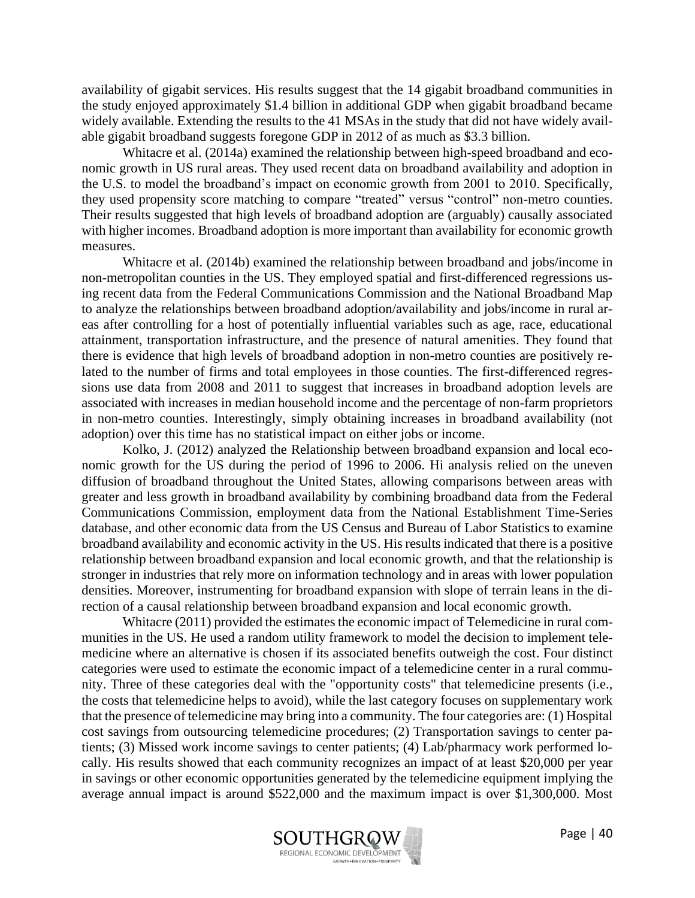availability of gigabit services. His results suggest that the 14 gigabit broadband communities in the study enjoyed approximately \$1.4 billion in additional GDP when gigabit broadband became widely available. Extending the results to the 41 MSAs in the study that did not have widely available gigabit broadband suggests foregone GDP in 2012 of as much as \$3.3 billion.

Whitacre et al. (2014a) examined the relationship between high-speed broadband and economic growth in US rural areas. They used recent data on broadband availability and adoption in the U.S. to model the broadband's impact on economic growth from 2001 to 2010. Specifically, they used propensity score matching to compare "treated" versus "control" non-metro counties. Their results suggested that high levels of broadband adoption are (arguably) causally associated with higher incomes. Broadband adoption is more important than availability for economic growth measures.

Whitacre et al. (2014b) examined the relationship between broadband and jobs/income in non-metropolitan counties in the US. They employed spatial and first-differenced regressions using recent data from the Federal Communications Commission and the National Broadband Map to analyze the relationships between broadband adoption/availability and jobs/income in rural areas after controlling for a host of potentially influential variables such as age, race, educational attainment, transportation infrastructure, and the presence of natural amenities. They found that there is evidence that high levels of broadband adoption in non-metro counties are positively related to the number of firms and total employees in those counties. The first-differenced regressions use data from 2008 and 2011 to suggest that increases in broadband adoption levels are associated with increases in median household income and the percentage of non-farm proprietors in non-metro counties. Interestingly, simply obtaining increases in broadband availability (not adoption) over this time has no statistical impact on either jobs or income.

Kolko, J. (2012) analyzed the Relationship between broadband expansion and local economic growth for the US during the period of 1996 to 2006. Hi analysis relied on the uneven diffusion of broadband throughout the United States, allowing comparisons between areas with greater and less growth in broadband availability by combining broadband data from the Federal Communications Commission, employment data from the National Establishment Time-Series database, and other economic data from the US Census and Bureau of Labor Statistics to examine broadband availability and economic activity in the US. His results indicated that there is a positive relationship between broadband expansion and local economic growth, and that the relationship is stronger in industries that rely more on information technology and in areas with lower population densities. Moreover, instrumenting for broadband expansion with slope of terrain leans in the direction of a causal relationship between broadband expansion and local economic growth.

Whitacre (2011) provided the estimates the economic impact of Telemedicine in rural communities in the US. He used a random utility framework to model the decision to implement telemedicine where an alternative is chosen if its associated benefits outweigh the cost. Four distinct categories were used to estimate the economic impact of a telemedicine center in a rural community. Three of these categories deal with the "opportunity costs" that telemedicine presents (i.e., the costs that telemedicine helps to avoid), while the last category focuses on supplementary work that the presence of telemedicine may bring into a community. The four categories are: (1) Hospital cost savings from outsourcing telemedicine procedures; (2) Transportation savings to center patients; (3) Missed work income savings to center patients; (4) Lab/pharmacy work performed locally. His results showed that each community recognizes an impact of at least \$20,000 per year in savings or other economic opportunities generated by the telemedicine equipment implying the average annual impact is around \$522,000 and the maximum impact is over \$1,300,000. Most

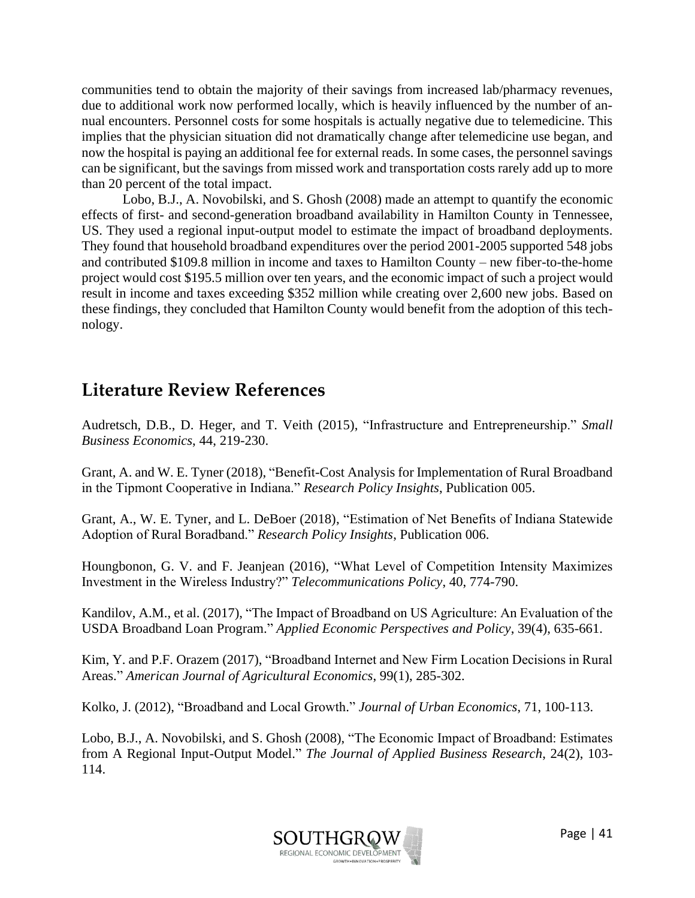communities tend to obtain the majority of their savings from increased lab/pharmacy revenues, due to additional work now performed locally, which is heavily influenced by the number of annual encounters. Personnel costs for some hospitals is actually negative due to telemedicine. This implies that the physician situation did not dramatically change after telemedicine use began, and now the hospital is paying an additional fee for external reads. In some cases, the personnel savings can be significant, but the savings from missed work and transportation costs rarely add up to more than 20 percent of the total impact.

Lobo, B.J., A. Novobilski, and S. Ghosh (2008) made an attempt to quantify the economic effects of first- and second-generation broadband availability in Hamilton County in Tennessee, US. They used a regional input-output model to estimate the impact of broadband deployments. They found that household broadband expenditures over the period 2001-2005 supported 548 jobs and contributed \$109.8 million in income and taxes to Hamilton County – new fiber-to-the-home project would cost \$195.5 million over ten years, and the economic impact of such a project would result in income and taxes exceeding \$352 million while creating over 2,600 new jobs. Based on these findings, they concluded that Hamilton County would benefit from the adoption of this technology.

### <span id="page-41-0"></span>**Literature Review References**

Audretsch, D.B., D. Heger, and T. Veith (2015), "Infrastructure and Entrepreneurship." *Small Business Economics*, 44, 219-230.

Grant, A. and W. E. Tyner (2018), "Benefit-Cost Analysis for Implementation of Rural Broadband in the Tipmont Cooperative in Indiana." *Research Policy Insights*, Publication 005.

Grant, A., W. E. Tyner, and L. DeBoer (2018), "Estimation of Net Benefits of Indiana Statewide Adoption of Rural Boradband." *Research Policy Insights*, Publication 006.

Houngbonon, G. V. and F. Jeanjean (2016), "What Level of Competition Intensity Maximizes Investment in the Wireless Industry?" *Telecommunications Policy*, 40, 774-790.

Kandilov, A.M., et al. (2017), "The Impact of Broadband on US Agriculture: An Evaluation of the USDA Broadband Loan Program." *Applied Economic Perspectives and Policy*, 39(4), 635-661.

Kim, Y. and P.F. Orazem (2017), "Broadband Internet and New Firm Location Decisions in Rural Areas." *American Journal of Agricultural Economics*, 99(1), 285-302.

Kolko, J. (2012), "Broadband and Local Growth." *Journal of Urban Economics*, 71, 100-113.

Lobo, B.J., A. Novobilski, and S. Ghosh (2008), "The Economic Impact of Broadband: Estimates from A Regional Input-Output Model." *The Journal of Applied Business Research*, 24(2), 103- 114.